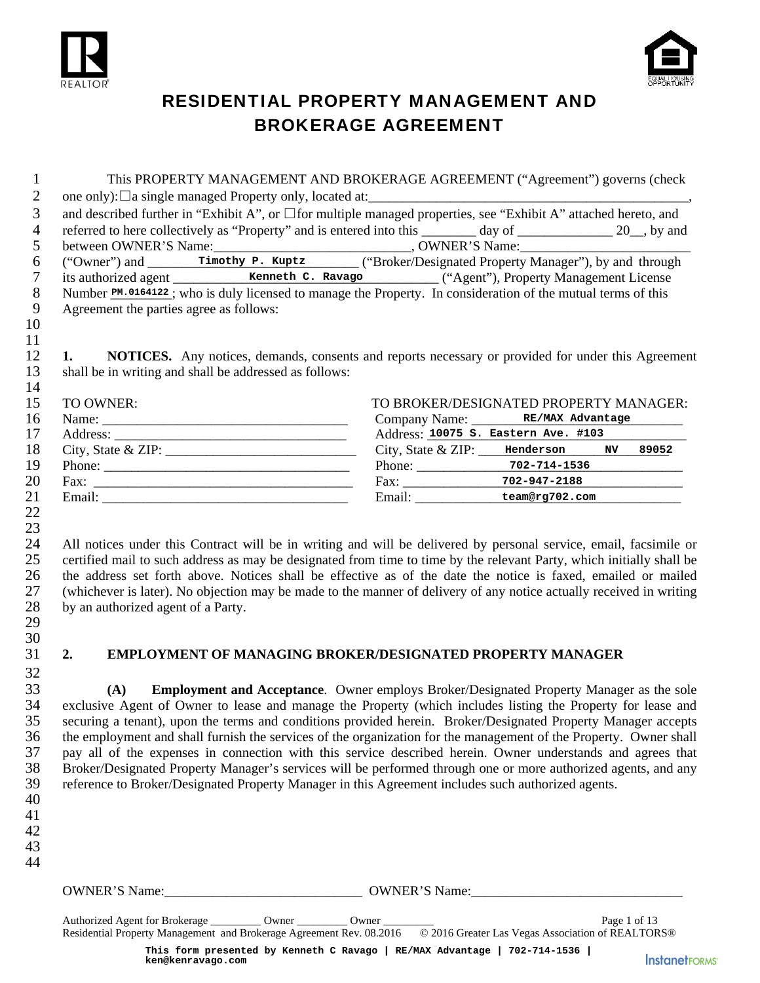



# RESIDENTIAL PROPERTY MANAGEMENT AND BROKERAGE AGREEMENT

|        |                                                        | This PROPERTY MANAGEMENT AND BROKERAGE AGREEMENT ("Agreement") governs (check                                         |
|--------|--------------------------------------------------------|-----------------------------------------------------------------------------------------------------------------------|
| 2      |                                                        |                                                                                                                       |
| 3      |                                                        | and described further in "Exhibit A", or $\Box$ for multiple managed properties, see "Exhibit A" attached hereto, and |
| 4      |                                                        | referred to here collectively as "Property" and is entered into this ________ day of ____________ 20_, by and         |
| 5      |                                                        |                                                                                                                       |
| 6      |                                                        |                                                                                                                       |
| $\tau$ |                                                        |                                                                                                                       |
| 8      |                                                        | Number PM.0164122; who is duly licensed to manage the Property. In consideration of the mutual terms of this          |
| 9      | Agreement the parties agree as follows:                |                                                                                                                       |
| 10     |                                                        |                                                                                                                       |
| 11     |                                                        |                                                                                                                       |
| 12     | 1.                                                     | <b>NOTICES.</b> Any notices, demands, consents and reports necessary or provided for under this Agreement             |
| 13     | shall be in writing and shall be addressed as follows: |                                                                                                                       |
| 14     |                                                        |                                                                                                                       |
| 15     | TO OWNER:                                              | TO BROKER/DESIGNATED PROPERTY MANAGER:                                                                                |
| 16     |                                                        | Company Name: RE/MAX Advantage                                                                                        |
| 17     |                                                        | Address: 10075 S. Eastern Ave. #103                                                                                   |
| 18     | City, State & ZIP: $\frac{1}{2}$                       | City, State $&ZIP:$ Henderson NV 89052                                                                                |
| 19     |                                                        |                                                                                                                       |
| 20     |                                                        |                                                                                                                       |
| 21     |                                                        | Email: team@rg702.com                                                                                                 |
| 22     |                                                        |                                                                                                                       |
| 23     |                                                        |                                                                                                                       |
| 24     |                                                        | All notices under this Contract will be in writing and will be delivered by personal service, email, facsimile or     |

25 certified mail to such address as may be designated from time to time by the relevant Party, which initially shall be<br>26 the address set forth above. Notices shall be effective as of the date the notice is faxed, emaile 26 the address set forth above. Notices shall be effective as of the date the notice is faxed, emailed or mailed 27 (whichever is later). No objection may be made to the manner of delivery of any notice actually received in writing 28 by an authorized agent of a Party. 29

30

32

#### 31 **2. EMPLOYMENT OF MANAGING BROKER/DESIGNATED PROPERTY MANAGER**

33 **(A) Employment and Acceptance**. Owner employs Broker/Designated Property Manager as the sole exclusive Agent of Owner to lease and manage the Property (which includes listing the Property for lease and 35 securing a tenant), upon the terms and conditions provided herein. Broker/Designated Property Manager accepts 36 the employment and shall furnish the services of the organization for the management of the Property. Owner shall 37 pay all of the expenses in connection with this service described herein. Owner understands and agrees that 38 Broker/Designated Property Manager's services will be performed through one or more authorized agents, and any 39 reference to Broker/Designated Property Manager in this Agreement includes such authorized agents.

- 40
- 41 42

43 44

OWNER'S Name: <br>
OWNER'S Name:

Authorized Agent for Brokerage \_\_\_\_\_\_\_\_ Owner \_\_\_\_\_\_\_\_ Owner \_\_\_\_\_\_\_\_\_\_\_\_\_\_\_\_\_\_\_\_ Page 1 of 13 Residential Property Management and Brokerage Agreement Rev. 08.2016 © 2016 Greater Las Vegas Association of REALTORS® **This form presented by Kenneth C Ravago | RE/MAX Advantage | 702-714-1536 | ken@kenravago.com**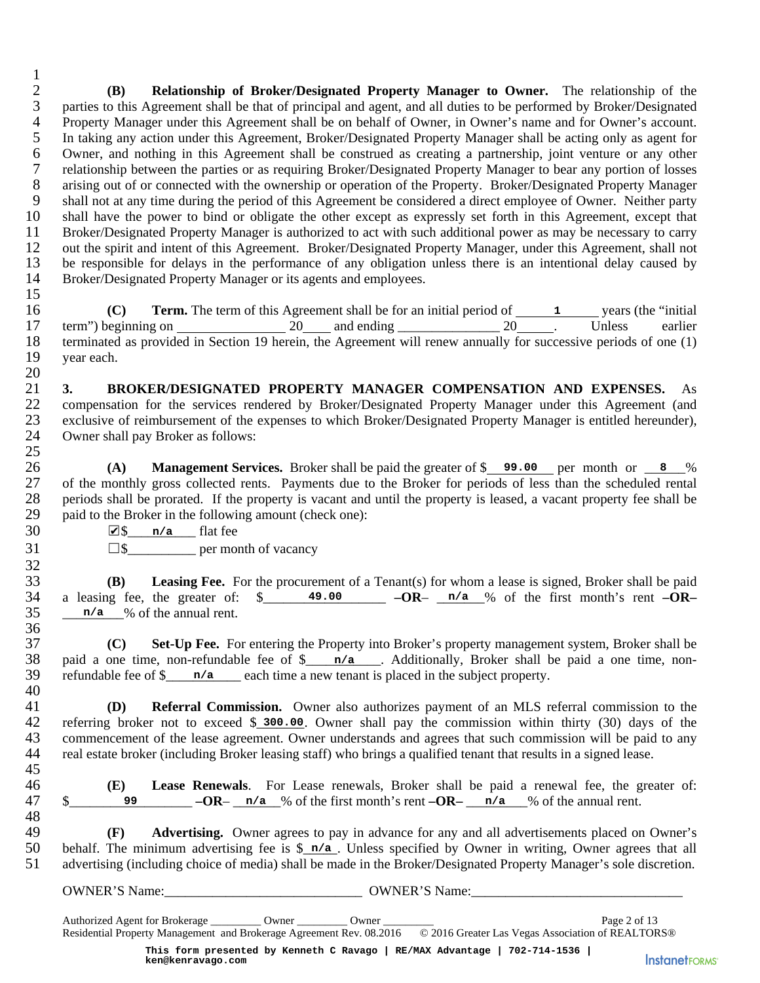$\frac{1}{2}$ 2 **(B) Relationship of Broker/Designated Property Manager to Owner.** The relationship of the parties to this Agreement shall be that of principal and agent, and all duties to be performed by Broker/Designated 3 parties to this Agreement shall be that of principal and agent, and all duties to be performed by Broker/Designated 4 Property Manager under this Agreement shall be on behalf of Owner, in Owner's name and for Owner's account.<br>5 In taking any action under this Agreement, Broker/Designated Property Manager shall be acting only as agent fo 5 In taking any action under this Agreement, Broker/Designated Property Manager shall be acting only as agent for<br>6 Owner, and nothing in this Agreement shall be construed as creating a partnership, joint venture or any ot 6 Owner, and nothing in this Agreement shall be construed as creating a partnership, joint venture or any other 7 relationship between the parties or as requiring Broker/Designated Property Manager to bear any portion of losses<br>8 arising out of or connected with the ownership or operation of the Property. Broker/Designated Property 8 arising out of or connected with the ownership or operation of the Property. Broker/Designated Property Manager<br>9 shall not at any time during the period of this Agreement be considered a direct employee of Owner. Neithe 9 shall not at any time during the period of this Agreement be considered a direct employee of Owner. Neither party 10 shall have the power to bind or obligate the other except as expressly set forth in this Agreement, exc shall have the power to bind or obligate the other except as expressly set forth in this Agreement, except that 11 Broker/Designated Property Manager is authorized to act with such additional power as may be necessary to carry<br>12 out the spirit and intent of this Agreement. Broker/Designated Property Manager, under this Agreement, s out the spirit and intent of this Agreement. Broker/Designated Property Manager, under this Agreement, shall not 13 be responsible for delays in the performance of any obligation unless there is an intentional delay caused by 14 Broker/Designated Property Manager or its agents and employees. 15

16 **(C) Term.** The term of this Agreement shall be for an initial period of <u>1</u> years (the "initial 17 term") beginning on  $20$  and ending  $20$  and ending  $20$  Unless earlier<br>18 terminated as provided in Section 19 herein, the Agreement will renew annually for successive periods of one (1) 18 terminated as provided in Section 19 herein, the Agreement will renew annually for successive periods of one (1) vear each. vear each.

 $\frac{20}{21}$ 21 **3. BROKER/DESIGNATED PROPERTY MANAGER COMPENSATION AND EXPENSES.** As 22 compensation for the services rendered by Broker/Designated Property Manager under this Agreement (and 23 exclusive of reimbursement of the expenses to which Broker/Designated Property Manager is entitled hereunder), 24 Owner shall pay Broker as follows: **Remain Scheme Theory (1)** Agenement shall be for an initial period of Lample 10 For an initial period of Lample 20 Lample 20 Lample 20 Lample 20 Lample 20 Lample 20 Lample 10 Section 19 herein, the Agenement will renew a

 $rac{25}{26}$ 26 **(A) Management Services.** Broker shall be paid the greater of \$ **99.00** per month or 8 % 27 of the monthly gross collected rents. Payments due to the Broker for periods of less than the scheduled rental 28 periods shall be prorated. If the property is vacant and until the property is leased, a vacant property fee shall be paid to the Broker in the following amount (check one): paid to the Broker in the following amount (check one):

30  $\sqrt{8}$   $n/a$  flat fee

32

36<br>37

40

 $31 \qquad \qquad \Box \$  per month of vacancy

**(B)** Leasing Fee. For the procurement of a Tenant(s) for whom a lease is signed, Broker shall be paid<br>34 a leasing fee, the greater of:  $\frac{\ }{3}$  49.00  $\frac{-OR}{-}$  n/a % of the first month's rent  $-OR$ -34 a leasing fee, the greater of:  $\frac{\ }{2}$  49.00 **– OR**– n/a % of the first month's rent  $-OR$ –  $35 \qquad n/a \qquad \%$  of the annual rent.

37 **(C) Set-Up Fee.** For entering the Property into Broker's property management system, Broker shall be 38 paid a one time, non-refundable fee of \$\_\_\_\_\_\_\_\_\_\_\_\_. Additionally, Broker shall be paid a one time, non-39 refundable fee of \$<u>equenors</u> each time a new tenant is placed in the subject property.

41 **(D) Referral Commission.** Owner also authorizes payment of an MLS referral commission to the 42 referring broker not to exceed \$\_300.00. Owner shall pay the commission within thirty (30) days of the 43 commencement of the lease agreement. Owner understands and agrees that such commission will be paid to any 44 real estate broker (including Broker leasing staff) who brings a qualified tenant that results in a signed lease. 45

46 **(E) Lease Renewals**. For Lease renewals, Broker shall be paid a renewal fee, the greater of:  $\frac{1}{2}$   $\frac{1}{2}$  **99**  $\frac{1}{2}$   $\frac{n}{a}$   $\frac{n}{a}$  of the first month's rent  $\frac{n}{a}$   $\frac{n}{a}$   $\frac{n}{a}$  of the annual rent.

48<br>49 49 **(F) Advertising.** Owner agrees to pay in advance for any and all advertisements placed on Owner's 50 behalf. The minimum advertising fee is  $\sin 2\theta$ . Unless specified by Owner in writing. Owner agrees that all 50 behalf. The minimum advertising fee is  $\frac{\pi}{a}$ . Unless specified by Owner in writing, Owner agrees that all 51 advertising (including choice of media) shall be made in the Broker/Designated Property Manager's sole discretion.

OWNER'S Name:\_\_\_\_\_\_\_\_\_\_\_\_\_\_\_\_\_\_\_\_\_\_\_\_\_\_\_\_\_ OWNER'S Name:\_\_\_\_\_\_\_\_\_\_\_\_\_\_\_\_\_\_\_\_\_\_\_\_\_\_\_\_\_\_\_

Authorized Agent for Brokerage \_\_\_\_\_\_\_\_\_ Owner \_\_\_\_\_\_\_\_\_ Owner \_\_\_\_\_\_\_\_\_ Page 2 of 13 Residential Property Management and Brokerage Agreement Rev. 08.2016 © 2016 Greater Las Vegas Association of REALTORS® **This form presented by Kenneth C Ravago | RE/MAX Advantage | 702-714-1536 |**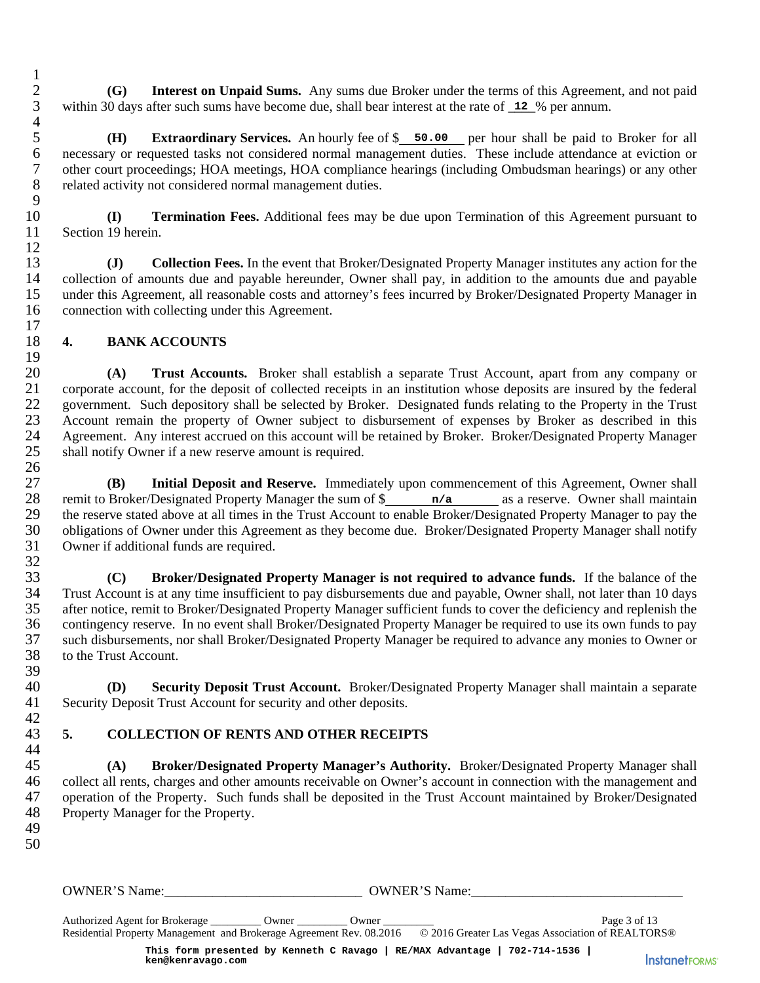2 **(G)** Interest on Unpaid Sums. Any sums due Broker under the terms of this Agreement, and not paid within 30 days after such sums have become due, shall bear interest at the rate of 12 % per annum. within 30 days after such sums have become due, shall bear interest at the rate of  $\overline{12}$  % per annum.

5 **(H) Extraordinary Services.** An hourly fee of \$ 50.00 per hour shall be paid to Broker for all necessary or requested tasks not considered normal management duties. These include attendance at eviction or 6 necessary or requested tasks not considered normal management duties. These include attendance at eviction or 7 other court proceedings; HOA meetings, HOA compliance hearings (including Ombudsman hearings) or any other related activity not considered normal management duties. related activity not considered normal management duties.

10 **(I) Termination Fees.** Additional fees may be due upon Termination of this Agreement pursuant to 11 Section 19 herein.

13 **(J) Collection Fees.** In the event that Broker/Designated Property Manager institutes any action for the 14 collection of amounts due and payable hereunder, Owner shall pay, in addition to the amounts due and payable 15 under this Agreement, all reasonable costs and attorney's fees incurred by Broker/Designated Property Manager in 16 connection with collecting under this Agreement.

## 18 **4. BANK ACCOUNTS**

 $\frac{19}{20}$ 20 **(A) Trust Accounts.** Broker shall establish a separate Trust Account, apart from any company or corporate account, for the deposit of collected receipts in an institution whose deposits are insured by the federal 21 corporate account, for the deposit of collected receipts in an institution whose deposits are insured by the federal 22 government. Such depository shall be selected by Broker. Designated funds relating to the Property in the Trust 23 Account remain the property of Owner subject to disbursement of expenses by Broker as described in this 24 Agreement. Any interest accrued on this account will be retained by Broker. Broker/Designated Property Manager 24 Agreement. Any interest accrued on this account will be retained by Broker. Broker/Designated Property Manager<br>25 shall notify Owner if a new reserve amount is required. shall notify Owner if a new reserve amount is required. 26

27 **(B)** Initial Deposit and Reserve. Immediately upon commencement of this Agreement, Owner shall 28 remit to Broker/Designated Property Manager the sum of \$  $n/a$  as a reserve. Owner shall maintain 28 remit to Broker/Designated Property Manager the sum of  $\frac{n}{a}$  as a reserve. Owner shall maintain<br>29 the reserve stated above at all times in the Trust Account to enable Broker/Designated Property Manager to pay the 29 the reserve stated above at all times in the Trust Account to enable Broker/Designated Property Manager to pay the 30 obligations of Owner under this Agreement as they become due. Broker/Designated Property Manager shall notify 31 Owner if additional funds are required.

32<br>33 33 **(C) Broker/Designated Property Manager is not required to advance funds.** If the balance of the 34 Trust Account is at any time insufficient to pay disbursements due and payable, Owner shall, not later than 10 days<br>35 after notice, remit to Broker/Designated Property Manager sufficient funds to cover the deficiency a after notice, remit to Broker/Designated Property Manager sufficient funds to cover the deficiency and replenish the 36 contingency reserve. In no event shall Broker/Designated Property Manager be required to use its own funds to pay 37 such disbursements, nor shall Broker/Designated Property Manager be required to advance any monies to Owner or 38 to the Trust Account. after such sums have become due, shall hear interest at the rate of  $\frac{12}{12}$ <br>**Extractminary Services.** An hourity fee of  $\frac{5}{5}$  soo one per hour standard<br>margement duties. These incordings: HOA necellorings HOA comp

39<br>40 40 **(D) Security Deposit Trust Account.** Broker/Designated Property Manager shall maintain a separate 41 Security Deposit Trust Account for security and other deposits.

#### 42<br>43 43 **5. COLLECTION OF RENTS AND OTHER RECEIPTS**  44

45 **(A) Broker/Designated Property Manager's Authority.** Broker/Designated Property Manager shall 46 collect all rents, charges and other amounts receivable on Owner's account in connection with the management and 47 operation of the Property. Such funds shall be deposited in the Trust Account maintained by Broker/Designated 48 Property Manager for the Property. Property Manager for the Property.

49 50

 $\frac{1}{2}$ 

 $\frac{4}{5}$ 

 $\frac{9}{10}$ 

12

 $\frac{17}{18}$ 

OWNER'S Name: <br>  $\bullet$  OWNER'S Name:

Authorized Agent for Brokerage \_\_\_\_\_\_\_\_\_ Owner \_\_\_\_\_\_\_\_\_ Owner \_\_\_\_\_\_\_\_\_ Page 3 of 13 Residential Property Management and Brokerage Agreement Rev. 08.2016 © 2016 Greater Las Vegas Association of REALTORS® **This form presented by Kenneth C Ravago | RE/MAX Advantage | 702-714-1536 |**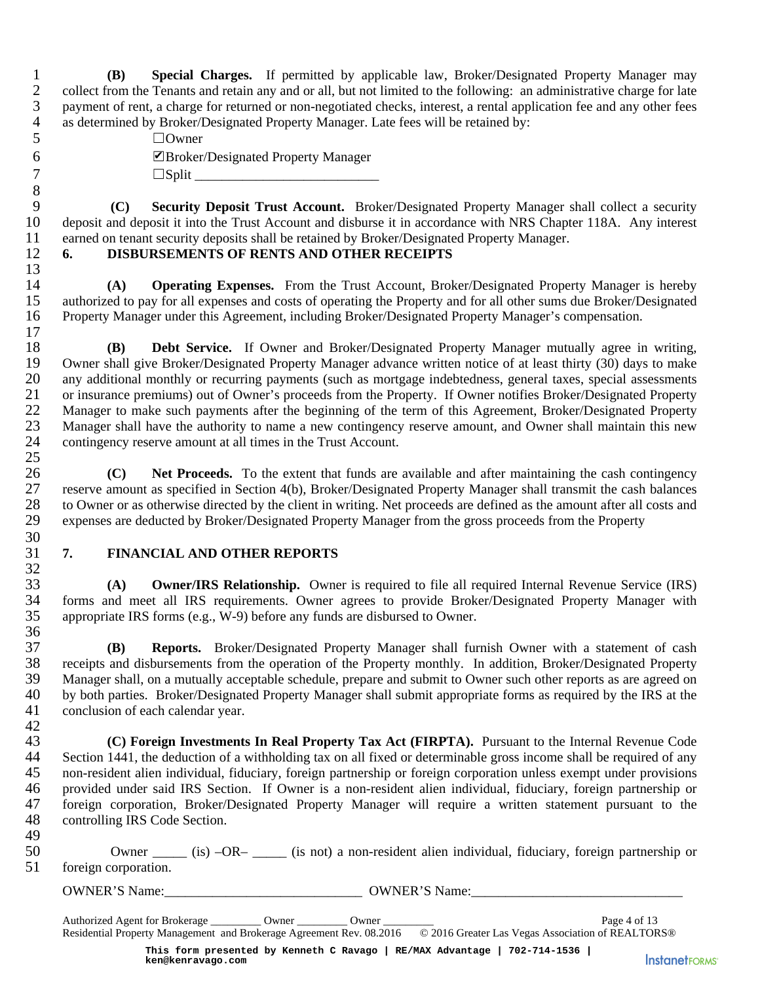1 **(B) Special Charges.** If permitted by applicable law, Broker/Designated Property Manager may collect from the Tenants and retain any and or all, but not limited to the following: an administrative charge for late 2 collect from the Tenants and retain any and or all, but not limited to the following: an administrative charge for late<br>3 payment of rent, a charge for returned or non-negotiated checks, interest, a rental application fe payment of rent, a charge for returned or non-negotiated checks, interest, a rental application fee and any other fees 4 as determined by Broker/Designated Property Manager. Late fees will be retained by:

| 5 | $\Box$ Owner                        |
|---|-------------------------------------|
| 6 | ■Broker/Designated Property Manager |
|   | $\Box$ Split                        |

9 **(C) Security Deposit Trust Account.** Broker/Designated Property Manager shall collect a security 10 deposit and deposit it into the Trust Account and disburse it in accordance with NRS Chapter 118A. Any interest 11 earned on tenant security deposits shall be retained by Broker/Designated Property Manager.

## 12 **6. DISBURSEMENTS OF RENTS AND OTHER RECEIPTS**

14 **(A) Operating Expenses.** From the Trust Account, Broker/Designated Property Manager is hereby authorized to pay for all expenses and costs of operating the Property and for all other sums due Broker/Designated authorized to pay for all expenses and costs of operating the Property and for all other sums due Broker/Designated 16 Property Manager under this Agreement, including Broker/Designated Property Manager's compensation.

 $\frac{17}{18}$ 18 **(B) Debt Service.** If Owner and Broker/Designated Property Manager mutually agree in writing, 19 Owner shall give Broker/Designated Property Manager advance written notice of at least thirty (30) days to make<br>20 any additional monthly or recurring payments (such as mortgage indebtedness, general taxes, special asse any additional monthly or recurring payments (such as mortgage indebtedness, general taxes, special assessments 21 or insurance premiums) out of Owner's proceeds from the Property. If Owner notifies Broker/Designated Property<br>22 Manager to make such payments after the beginning of the term of this Agreement, Broker/Designated Proper 22 Manager to make such payments after the beginning of the term of this Agreement, Broker/Designated Property<br>23 Manager shall have the authority to name a new contingency reserve amount, and Owner shall maintain this new 23 Manager shall have the authority to name a new contingency reserve amount, and Owner shall maintain this new<br>24 contingency reserve amount at all times in the Trust Account. contingency reserve amount at all times in the Trust Account. 25 **Example 12**<br> **kecurity Deposit**<br> **kecurity Depositions**<br> **kecurity Depositions**<br> **kenderally deposits**<br> **kenderally deposits**<br> **kenderally Experally Experally or experally or recurring experally or recurring emonthly or r** 

26 **(C)** Net Proceeds. To the extent that funds are available and after maintaining the cash contingency<br>27 reserve amount as specified in Section 4(b), Broker/Designated Property Manager shall transmit the cash balances 27 reserve amount as specified in Section 4(b), Broker/Designated Property Manager shall transmit the cash balances 28 to Owner or as otherwise directed by the client in writing. Net proceeds are defined as the amount after all costs and<br>29 expenses are deducted by Broker/Designated Property Manager from the gross proceeds from the Prop 29 expenses are deducted by Broker/Designated Property Manager from the gross proceeds from the Property

#### 30<br>31 31 **7. FINANCIAL AND OTHER REPORTS**  32

8<br>9

13

33 **(A) Owner/IRS Relationship.** Owner is required to file all required Internal Revenue Service (IRS) 34 forms and meet all IRS requirements. Owner agrees to provide Broker/Designated Property Manager with<br>35 appropriate IRS forms (e.g., W-9) before any funds are disbursed to Owner. appropriate IRS forms (e.g., W-9) before any funds are disbursed to Owner.

 $\frac{36}{37}$ 37 **(B) Reports.** Broker/Designated Property Manager shall furnish Owner with a statement of cash 38 receipts and disbursements from the operation of the Property monthly. In addition, Broker/Designated Property 39 Manager shall, on a mutually acceptable schedule, prepare and submit to Owner such other reports as are agreed on 40 by both parties. Broker/Designated Property Manager shall submit appropriate forms as required by the IRS at the conclusion of each calendar year. conclusion of each calendar year. 42

43 **(C) Foreign Investments In Real Property Tax Act (FIRPTA).** Pursuant to the Internal Revenue Code 44 Section 1441, the deduction of a withholding tax on all fixed or determinable gross income shall be required of any 45 non-resident alien individual, fiduciary, foreign partnership or foreign corporation unless exempt under provisions 46 provided under said IRS Section. If Owner is a non-resident alien individual, fiduciary, foreign partnership or 47 foreign corporation, Broker/Designated Property Manager will require a written statement pursuant to the controlling IRS Code Section. controlling IRS Code Section.

| 49 |                                                                                                        |  |  |  |  |  |
|----|--------------------------------------------------------------------------------------------------------|--|--|--|--|--|
| 50 | Owner _____ (is) -OR- ____ (is not) a non-resident alien individual, fiduciary, foreign partnership or |  |  |  |  |  |
|    | 51 foreign corporation.                                                                                |  |  |  |  |  |

OWNER'S Name:\_\_\_\_\_\_\_\_\_\_\_\_\_\_\_\_\_\_\_\_\_\_\_\_\_\_\_\_\_ OWNER'S Name:\_\_\_\_\_\_\_\_\_\_\_\_\_\_\_\_\_\_\_\_\_\_\_\_\_\_\_\_\_\_\_

**InstanetFORMS**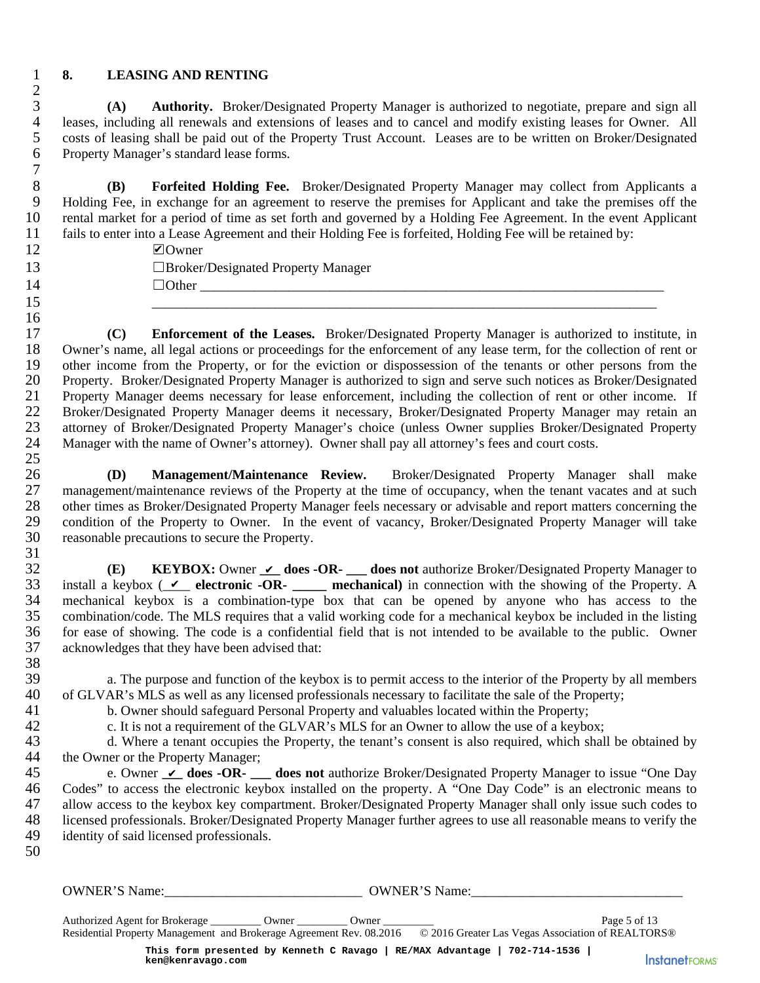$\frac{2}{3}$ 

 $\begin{array}{c} 7 \\ 8 \end{array}$ 

16

### 1 **8. LEASING AND RENTING**

3 **(A) Authority.** Broker/Designated Property Manager is authorized to negotiate, prepare and sign all 4 leases, including all renewals and extensions of leases and to cancel and modify existing leases for Owner. All<br>5 costs of leasing shall be paid out of the Property Trust Account. Leases are to be written on Broker/Desig 5 costs of leasing shall be paid out of the Property Trust Account. Leases are to be written on Broker/Designated 6 Property Manager's standard lease forms. Property Manager's standard lease forms.

8 **(B) Forfeited Holding Fee.** Broker/Designated Property Manager may collect from Applicants a<br>9 Holding Fee, in exchange for an agreement to reserve the premises for Applicant and take the premises off the 9 Holding Fee, in exchange for an agreement to reserve the premises for Applicant and take the premises off the 10 rental market for a period of time as set forth and governed by a Holding Fee Agreement. In the event Applicant 11 fails to enter into a Lease Agreement and their Holding Fee is forfeited, Holding Fee will be retained by:

12 ☐Owner 13 ☐Broker/Designated Property Manager 14 ☐Other \_\_\_\_\_\_\_\_\_\_\_\_\_\_\_\_\_\_\_\_\_\_\_\_\_\_\_\_\_\_\_\_\_\_\_\_\_\_\_\_\_\_\_\_\_\_\_\_\_\_\_\_\_\_\_\_\_\_\_\_\_\_\_\_\_\_\_\_

17 **(C) Enforcement of the Leases.** Broker/Designated Property Manager is authorized to institute, in 18 Owner's name, all legal actions or proceedings for the enforcement of any lease term, for the collection of rent or 19 other income from the Property, or for the eviction or dispossession of the tenants or other persons from the 20 Property. Broker/Designated Property Manager is authorized to sign and serve such notices as Broker/Designated<br>21 Property Manager deems necessary for lease enforcement, including the collection of rent or other income. Property Manager deems necessary for lease enforcement, including the collection of rent or other income. If 22 Broker/Designated Property Manager deems it necessary, Broker/Designated Property Manager may retain an 23 attorney of Broker/Designated Property Manager's choice (unless Owner supplies Broker/Designated Property 24 Manager with the name of Owner's attorney). Owner shall pay all attorney's fees and court costs. **Example Towner**<br> **Enforcement of**<br> **k** all legal actions of<br>
all legal actions of<br>
from the Property Mare (ser/Designated Proger deems necessated Property Mare oker/Designated Proformer Management/Maintenance review<br> **ke** 

15  $\hskip1cm \overline{\phantom{a}15}$   $\hskip1cm \overline{\phantom{a}15}$   $\hskip1cm \overline{\phantom{a}15}$   $\hskip1cm \overline{\phantom{a}15}$   $\hskip1cm \overline{\phantom{a}15}$   $\hskip1cm \overline{\phantom{a}15}$   $\hskip1cm \overline{\phantom{a}15}$   $\hskip1cm \overline{\phantom{a}15}$   $\hskip1cm \overline{\phantom{a}15}$   $\hskip1cm \overline{\phantom{a}15}$   $\hskip1cm \overline{\phantom{a}15}$ 

 $rac{25}{26}$ 26 **(D) Management/Maintenance Review.** Broker/Designated Property Manager shall make 27 management/maintenance reviews of the Property at the time of occupancy, when the tenant vacates and at such<br>28 other times as Broker/Designated Property Manager feels necessary or advisable and report matters concernin 28 other times as Broker/Designated Property Manager feels necessary or advisable and report matters concerning the<br>29 condition of the Property to Owner. In the event of vacancy, Broker/Designated Property Manager will ta 29 condition of the Property to Owner. In the event of vacancy, Broker/Designated Property Manager will take 30 reasonable precautions to secure the Property.

 $\frac{31}{32}$ 32 **(E) KEYBOX:** Owner  $\angle$  does -OR- does not authorize Broker/Designated Property Manager to 33 install a keybox ( $\angle\angle$  electronic -OR- \_\_\_\_\_ mechanical) in connection with the showing of the Property. A 34 mechanical keybox is a combination-type box that can be opened by anyone who has access to the combination/code. The MLS requires that a valid working code for a mechanical keybox be included in the listing 35 combination/code. The MLS requires that a valid working code for a mechanical keybox be included in the listing 36 for ease of showing. The code is a confidential field that is not intended to be available to the public. Owner 37 acknowledges that they have been advised that: 38<br>39

39 a. The purpose and function of the keybox is to permit access to the interior of the Property by all members 40 of GLVAR's MLS as well as any licensed professionals necessary to facilitate the sale of the Property: 40 of GLVAR's MLS as well as any licensed professionals necessary to facilitate the sale of the Property;<br>41 b. Owner should safeguard Personal Property and valuables located within the Property;

41 b. Owner should safeguard Personal Property and valuables located within the Property;<br>c. It is not a requirement of the GLVAR's MLS for an Owner to allow the use of a keybo

42 c. It is not a requirement of the GLVAR's MLS for an Owner to allow the use of a keybox;

43 d. Where a tenant occupies the Property, the tenant's consent is also required, which shall be obtained by 44 the Owner or the Property Manager;

45 e. Owner  $\angle$  does -OR- does not authorize Broker/Designated Property Manager to issue "One Day 46 Codes" to access the electronic keybox installed on the property. A "One Day Code" is an electronic means to 47 allow access to the keybox key compartment. Broker/Designated Property Manager shall only issue such codes to 48 licensed professionals. Broker/Designated Property Manager further agrees to use all reasonable means to verify the 49 identity of said licensed professionals.

50

OWNER'S Name:\_\_\_\_\_\_\_\_\_\_\_\_\_\_\_\_\_\_\_\_\_\_\_\_\_\_\_\_\_ OWNER'S Name:\_\_\_\_\_\_\_\_\_\_\_\_\_\_\_\_\_\_\_\_\_\_\_\_\_\_\_\_\_\_\_

Authorized Agent for Brokerage \_\_\_\_\_\_\_\_\_ Owner \_\_\_\_\_\_\_\_\_ Owner \_\_\_\_\_\_\_\_\_ Page 5 of 13 Residential Property Management and Brokerage Agreement Rev. 08.2016 © 2016 Greater Las Vegas Association of REALTORS® **This form presented by Kenneth C Ravago | RE/MAX Advantage | 702-714-1536 |**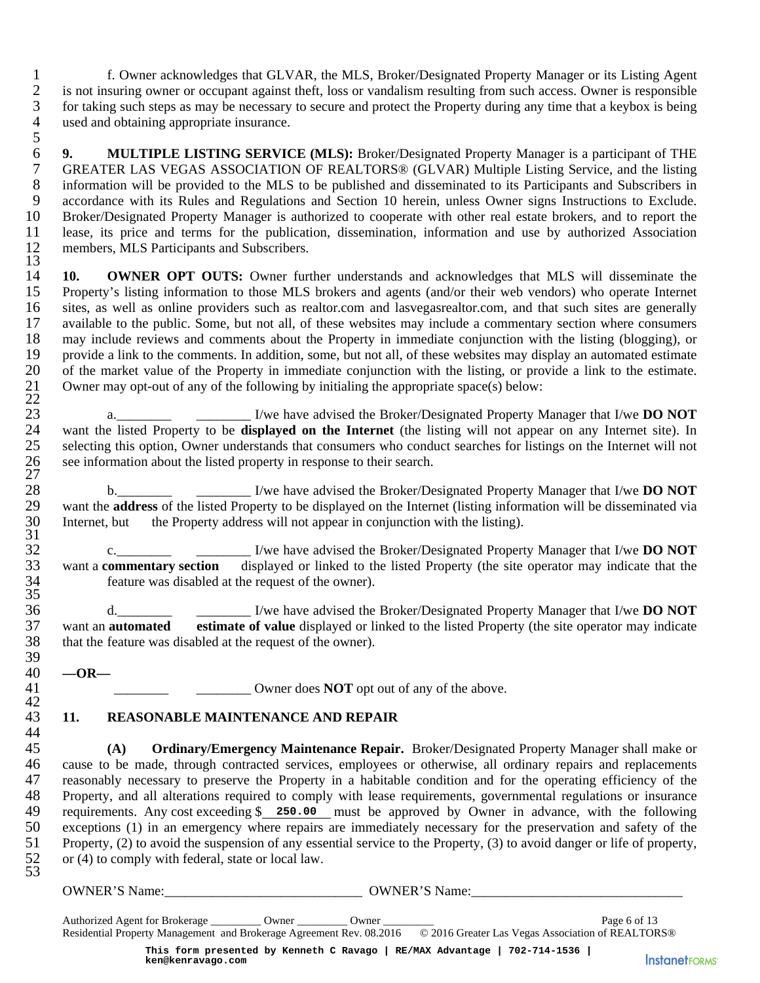1 f. Owner acknowledges that GLVAR, the MLS, Broker/Designated Property Manager or its Listing Agent 2 is not insuring owner or occupant against theft, loss or vandalism resulting from such access. Owner is responsible<br>3 for taking such steps as may be necessary to secure and protect the Property during any time that a ke 3 for taking such steps as may be necessary to secure and protect the Property during any time that a keybox is being 4 used and obtaining appropriate insurance.

 $\frac{5}{6}$ 6 **9. MULTIPLE LISTING SERVICE (MLS):** Broker/Designated Property Manager is a participant of THE 7 GREATER LAS VEGAS ASSOCIATION OF REALTORS® (GLVAR) Multiple Listing Service, and the listing<br>8 information will be provided to the MLS to be published and disseminated to its Participants and Subscribers in 8 information will be provided to the MLS to be published and disseminated to its Participants and Subscribers in<br>9 accordance with its Rules and Regulations and Section 10 herein, unless Owner signs Instructions to Exclud 9 accordance with its Rules and Regulations and Section 10 herein, unless Owner signs Instructions to Exclude.<br>10 Broker/Designated Property Manager is authorized to cooperate with other real estate brokers, and to report 10 Broker/Designated Property Manager is authorized to cooperate with other real estate brokers, and to report the 11 lease, its price and terms for the publication, dissemination, information and use by authorized Association 12 members. MLS Participants and Subscribers. members, MLS Participants and Subscribers. 13

14 **10. OWNER OPT OUTS:** Owner further understands and acknowledges that MLS will disseminate the 15 Property's listing information to those MLS brokers and agents (and/or their web vendors) who operate Internet 16 sites, as well as online providers such as realtor.com and lasvegasrealtor.com, and that such sites are generally 17 available to the public. Some, but not all, of these websites may include a commentary section where consumers 18 may include reviews and comments about the Property in immediate conjunction with the listing (blogging), or 19 provide a link to the comments. In addition, some, but not all, of these websites may display an automated estimate 20 of the market value of the Property in immediate conjunction with the listing, or provide a link to 20 of the market value of the Property in immediate conjunction with the listing, or provide a link to the estimate. Owner may opt-out of any of the following by initialing the appropriate space(s) below:  $\begin{array}{c} 21 \\ 22 \\ 23 \end{array}$ 

23 a. a. I/we have advised the Broker/Designated Property Manager that I/we **DO NOT**<br>24 want the listed Property to be **displayed on the Internet** (the listing will not appear on any Internet site). In 24 want the listed Property to be **displayed on the Internet** (the listing will not appear on any Internet site). In selecting this option, Owner understands that consumers who conduct searches for listings on the Internet 25 selecting this option, Owner understands that consumers who conduct searches for listings on the Internet will not 26 see information about the listed property in response to their search.

28 b.<br>
29 want the **address** of the listed Property to be displayed on the Internet (listing information will be disseminated via 29 want the **address** of the listed Property to be displayed on the Internet (listing information will be disseminated via<br>30 Internet, but the Property address will not appear in conjunction with the listing). Internet, but the Property address will not appear in conjunction with the listing).

32 c.\_\_\_\_\_\_\_\_ \_\_\_\_\_\_\_\_ I/we have advised the Broker/Designated Property Manager that I/we **DO NOT** 33 want a **commentary section** displayed or linked to the listed Property (the site operator may indicate that the feature was disabled at the request of the owner).

36 d. Let us also a set that I/we have advised the Broker/Designated Property Manager that I/we **DO NOT**<br>37 want an **automated** estimate of value displayed or linked to the listed Property (the site operator may indicate 37 want an **automated estimate of value** displayed or linked to the listed Property (the site operator may indicate 38 that the feature was disabled at the request of the owner).

 $-OR-$ 

 $\frac{26}{27}$ <br>28

 $\frac{31}{32}$ 

 $\frac{34}{35}$ <br>36

39

42<br>43

44

41 \_\_\_\_\_\_\_\_ \_\_\_\_\_\_\_\_ Owner does **NOT** opt out of any of the above.

## 43 **11. REASONABLE MAINTENANCE AND REPAIR**

45 **(A) Ordinary/Emergency Maintenance Repair.** Broker/Designated Property Manager shall make or 46 cause to be made, through contracted services, employees or otherwise, all ordinary repairs and replacements<br>47 reasonably necessary to preserve the Property in a habitable condition and for the operating efficiency of 47 reasonably necessary to preserve the Property in a habitable condition and for the operating efficiency of the 48 Property, and all alterations required to comply with lease requirements, governmental regulations or insurance 49 requirements. Any cost exceeding \$ 250.00 must be approved by Owner in advance, with the following 50 exceptions (1) in an emergency where repairs are immediately necessary for the preservation and safety of the 51 Property, (2) to avoid the suspension of any essential service to the Property, (3) to avoid danger or life of property, or (4) to comply with federal, state or local law. 53 Any cost exceeding \$ 250.00<br>
in an emergency where repair<br>
avoid the suspension of any es<br>
y with federal, state or local law<br>
me:<br>
<u>For Brokerage Counce Counce</u><br>
ty Management and Brokerage Agree<br>
This form presented by K

OWNER'S Name:\_\_\_\_\_\_\_\_\_\_\_\_\_\_\_\_\_\_\_\_\_\_\_\_\_\_\_\_\_ OWNER'S Name:\_\_\_\_\_\_\_\_\_\_\_\_\_\_\_\_\_\_\_\_\_\_\_\_\_\_\_\_\_\_\_

Authorized Agent for Brokerage \_\_\_\_\_\_\_\_\_ Owner \_\_\_\_\_\_\_\_\_ Owner \_\_\_\_\_\_\_\_\_ Page 6 of 13 Residential Property Management and Brokerage Agreement Rev. 08.2016 © 2016 Greater Las Vegas Association of REALTORS® **This form presented by Kenneth C Ravago | RE/MAX Advantage | 702-714-1536 |**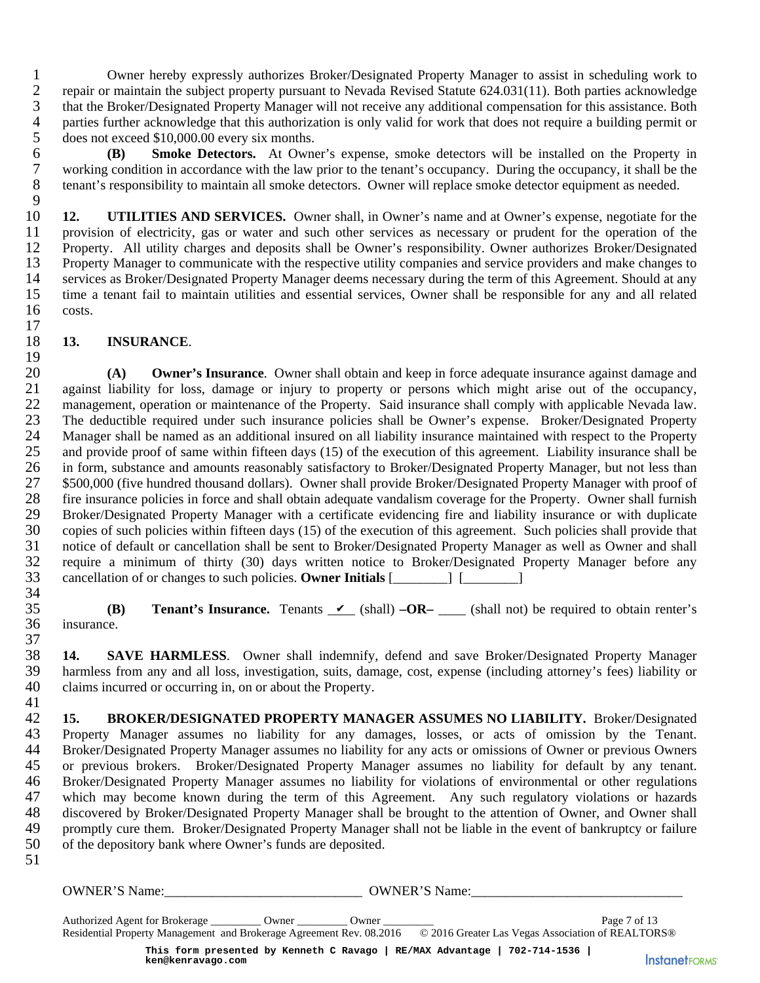1 Owner hereby expressly authorizes Broker/Designated Property Manager to assist in scheduling work to<br>2 repair or maintain the subject property pursuant to Nevada Revised Statute 624.031(11). Both parties acknowledge 2 repair or maintain the subject property pursuant to Nevada Revised Statute 624.031(11). Both parties acknowledge<br>3 that the Broker/Designated Property Manager will not receive any additional compensation for this assista 3 that the Broker/Designated Property Manager will not receive any additional compensation for this assistance. Both 4 parties further acknowledge that this authorization is only valid for work that does not require a building permit or does not exceed \$10,000.00 every six months. 5 does not exceed \$10,000.00 every six months.<br>6 **(B)** Smoke Detectors. At Owner

6 **(B) Smoke Detectors.** At Owner's expense, smoke detectors will be installed on the Property in 7 working condition in accordance with the law prior to the tenant's occupancy. During the occupancy, it shall be the tenant's responsibility to maintain all smoke detectors. Owner will replace smoke detector equipment as tenant's responsibility to maintain all smoke detectors. Owner will replace smoke detector equipment as needed.

 $\frac{9}{10}$ 12. **UTILITIES AND SERVICES.** Owner shall, in Owner's name and at Owner's expense, negotiate for the 11 provision of electricity, gas or water and such other services as necessary or prudent for the operation of the<br>12 Property. All utility charges and deposits shall be Owner's responsibility. Owner authorizes Broker/Desi 12 Property. All utility charges and deposits shall be Owner's responsibility. Owner authorizes Broker/Designated 13 Property Manager to communicate with the respective utility companies and service providers and make changes to 14 services as Broker/Designated Property Manager deems necessary during the term of this Agreement. Should at any 15 time a tenant fail to maintain utilities and essential services, Owner shall be responsible for any and all related 16 costs.

#### $\frac{17}{18}$ 18 **13. INSURANCE**.

 $\frac{19}{20}$ 20 **(A) Owner's Insurance**. Owner shall obtain and keep in force adequate insurance against damage and against liability for loss, damage or injury to property or persons which might arise out of the occupancy, against liability for loss, damage or injury to property or persons which might arise out of the occupancy, 22 management, operation or maintenance of the Property. Said insurance shall comply with applicable Nevada law. 23 The deductible required under such insurance policies shall be Owner's expense. Broker/Designated Property 24 Manager shall be named as an additional insured on all liability insurance maintained with respect to the Property<br>25 and provide proof of same within fifteen days (15) of the execution of this agreement. Liability insu 25 and provide proof of same within fifteen days (15) of the execution of this agreement. Liability insurance shall be 26 in form, substance and amounts reasonably satisfactory to Broker/Designated Property Manager, but not less than 27 \$500,000 (five hundred thousand dollars). Owner shall provide Broker/Designated Property Manager with proof of 128 fire insurance policies in force and shall obtain adequate vandalism coverage for the Property. Owner sh 28 fire insurance policies in force and shall obtain adequate vandalism coverage for the Property. Owner shall furnish<br>29 Broker/Designated Property Manager with a certificate evidencing fire and liability insurance or wit 29 Broker/Designated Property Manager with a certificate evidencing fire and liability insurance or with duplicate 30 copies of such policies within fifteen days (15) of the execution of this agreement. Such policies shall provide that 31 notice of default or cancellation shall be sent to Broker/Designated Property Manager as well as Owner and shall 32 require a minimum of thirty (30) days written notice to Broker/Designated Property Manager before any 33 cancellation of or changes to such policies. **Owner Initials** [\_\_\_\_\_\_\_\_] [\_\_\_\_\_\_\_\_]

34<br>35 **(B)** Tenant's Insurance. Tenants  $\checkmark$  (shall)  $-OR$ – (shall not) be required to obtain renter's 36 insurance. 37

38 **14. SAVE HARMLESS**. Owner shall indemnify, defend and save Broker/Designated Property Manager harmless from any and all loss, investigation, suits, damage, cost, expense (including attorney's fees) liability or 40 claims incurred or occurring in, on or about the Property. 41

42 **15. BROKER/DESIGNATED PROPERTY MANAGER ASSUMES NO LIABILITY.** Broker/Designated 43 Property Manager assumes no liability for any damages, losses, or acts of omission by the Tenant. 44 Broker/Designated Property Manager assumes no liability for any acts or omissions of Owner or previous Owners 45 or previous brokers. Broker/Designated Property Manager assumes no liability for default by any tenant. 46 Broker/Designated Property Manager assumes no liability for violations of environmental or other regulations 47 which may become known during the term of this Agreement. Any such regulatory violations or hazards<br>48 discovered by Broker/Designated Property Manager shall be brought to the attention of Owner, and Owner shall 48 discovered by Broker/Designated Property Manager shall be brought to the attention of Owner, and Owner shall<br>49 promptly cure them. Broker/Designated Property Manager shall not be liable in the event of bankruptcy or fa 49 promptly cure them. Broker/Designated Property Manager shall not be liable in the event of bankruptcy or failure 50 of the depository bank where Owner's funds are deposited. 51 **Fenant's Insurance.** Tenants V<br> **HARMLESS.** Owner shall inder<br>
any and all loss, investigation, suits<br>
1 or occurring in, on or about the Prop<br> **ER/DESIGNATED PROPERTY** I<br>
ager assumes no liability for ar<br>
ated Property M

OWNER'S Name:\_\_\_\_\_\_\_\_\_\_\_\_\_\_\_\_\_\_\_\_\_\_\_\_\_\_\_\_\_ OWNER'S Name:\_\_\_\_\_\_\_\_\_\_\_\_\_\_\_\_\_\_\_\_\_\_\_\_\_\_\_\_\_\_\_

Authorized Agent for Brokerage \_\_\_\_\_\_\_\_\_ Owner \_\_\_\_\_\_\_\_\_ Owner \_\_\_\_\_\_\_\_\_ Page 7 of 13 Residential Property Management and Brokerage Agreement Rev. 08.2016 © 2016 Greater Las Vegas Association of REALTORS® **This form presented by Kenneth C Ravago | RE/MAX Advantage | 702-714-1536 |**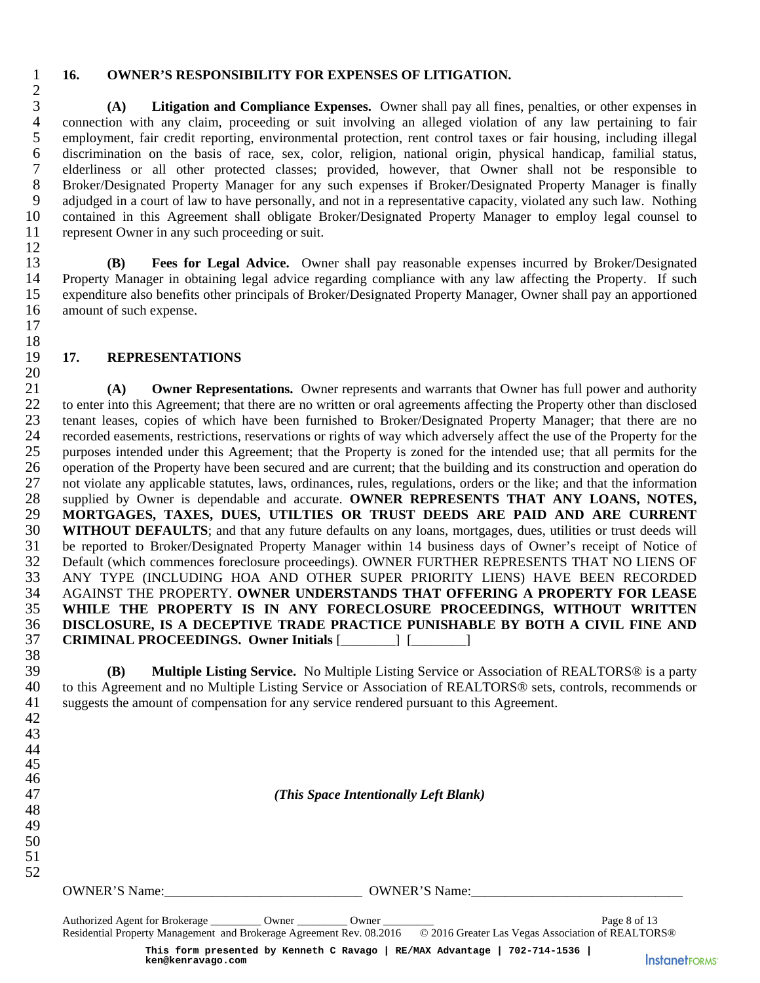#### 1 **16. OWNER'S RESPONSIBILITY FOR EXPENSES OF LITIGATION.**

3 **(A) Litigation and Compliance Expenses.** Owner shall pay all fines, penalties, or other expenses in 4 connection with any claim, proceeding or suit involving an alleged violation of any law pertaining to fair<br>5 employment, fair credit reporting, environmental protection, rent control taxes or fair housing, including ille 5 employment, fair credit reporting, environmental protection, rent control taxes or fair housing, including illegal<br>6 discrimination on the basis of race, sex, color, religion, national origin, physical handicap, familial discrimination on the basis of race, sex, color, religion, national origin, physical handicap, familial status, 7 elderliness or all other protected classes; provided, however, that Owner shall not be responsible to 8 Broker/Designated Property Manager for any such expenses if Broker/Designated Property Manager is finally<br>9 adjudged in a court of law to have personally, and not in a representative capacity, violated any such law. Noth adjudged in a court of law to have personally, and not in a representative capacity, violated any such law. Nothing 10 contained in this Agreement shall obligate Broker/Designated Property Manager to employ legal counsel to 11 represent Owner in any such proceeding or suit.

13 **(B) Fees for Legal Advice.** Owner shall pay reasonable expenses incurred by Broker/Designated 14 Property Manager in obtaining legal advice regarding compliance with any law affecting the Property. If such 15 expenditure also benefits other principals of Broker/Designated Property Manager, Owner shall pay an apportioned 16 amount of such expense. 17

#### 19 **17. REPRESENTATIONS**

 $\frac{20}{21}$ 21 **(A) Owner Representations.** Owner represents and warrants that Owner has full power and authority 22 to enter into this Agreement; that there are no written or oral agreements affecting the Property other than disclosed 23 tenant leases, copies of which have been furnished to Broker/Designated Property Manager; that there are no 24 recorded easements, restrictions, reservations or rights of way which adversely affect the use of the Property for the purposes intended under this Agreement; that the Property is zoned for the intended use; that all pe 25 purposes intended under this Agreement; that the Property is zoned for the intended use; that all permits for the 26 operation of the Property have been secured and are current; that the building and its construction and operation do 27 not violate any applicable statutes, laws, ordinances, rules, regulations, orders or the like; and that the information<br>28 supplied by Owner is dependable and accurate. OWNER REPRESENTS THAT ANY LOANS, NOTES, 28 supplied by Owner is dependable and accurate. **OWNER REPRESENTS THAT ANY LOANS, NOTES,** 29 **MORTGAGES, TAXES, DUES, UTILTIES OR TRUST DEEDS ARE PAID AND ARE CURRENT** 29 **MORTGAGES, TAXES, DUES, UTILTIES OR TRUST DEEDS ARE PAID AND ARE CURRENT**  30 **WITHOUT DEFAULTS**; and that any future defaults on any loans, mortgages, dues, utilities or trust deeds will 31 be reported to Broker/Designated Property Manager within 14 business days of Owner's receipt of Notice of 32 Default (which commences foreclosure proceedings). OWNER FURTHER REPRESENTS THAT NO LIENS OF 33 ANY TYPE (INCLUDING HOA AND OTHER SUPER PRIORITY LIENS) HAVE BEEN RECORDED 34 AGAINST THE PROPERTY. **OWNER UNDERSTANDS THAT OFFERING A PROPERTY FOR LEASE**  35 **WHILE THE PROPERTY IS IN ANY FORECLOSURE PROCEEDINGS, WITHOUT WRITTEN**  36 **DISCLOSURE, IS A DECEPTIVE TRADE PRACTICE PUNISHABLE BY BOTH A CIVIL FINE AND**  37 **CRIMINAL PROCEEDINGS. Owner Initials** [\_\_\_\_\_\_\_\_] [\_\_\_\_\_\_\_\_]

38<br>39 39 **(B) Multiple Listing Service.** No Multiple Listing Service or Association of REALTORS® is a party 40 to this Agreement and no Multiple Listing Service or Association of REALTORS® sets, controls, recommends or 41 suggests the amount of compensation for any service rendered pursuant to this Agreement. 42

47 *(This Space Intentionally Left Blank)* 

48 49 50

 $\frac{2}{3}$ 

12

 $\frac{18}{19}$ 

51 52

OWNER'S Name:\_\_\_\_\_\_\_\_\_\_\_\_\_\_\_\_\_\_\_\_\_\_\_\_\_\_\_\_\_ OWNER'S Name:\_\_\_\_\_\_\_\_\_\_\_\_\_\_\_\_\_\_\_\_\_\_\_\_\_\_\_\_\_\_\_

Authorized Agent for Brokerage 2001 Owner 2008 Owner 2008 Owner 2008 Owner 2008 Owner 2008 Owner 2008 Owner 2008 Owner 2008 Owner 2008 Owner 2008 Owner 2008 Owner 2008 Owner 2008 Owner 2008 Owner 2008 Owner 2008 Owner 2008 Residential Property Management and Brokerage Agreement Rev. 08.2016 © 2016 Greater Las Vegas Association of REALTORS® **This form presented by Kenneth C Ravago | RE/MAX Advantage | 702-714-1536 | ken@kenravago.com**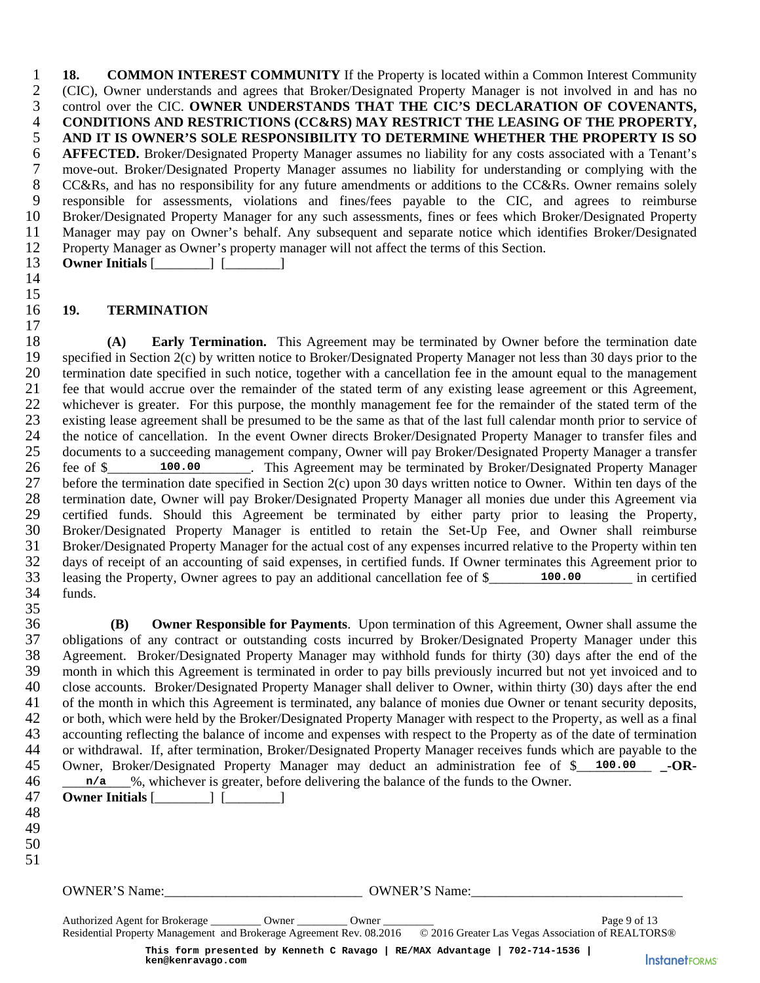1 **18. COMMON INTEREST COMMUNITY** If the Property is located within a Common Interest Community 2 (CIC), Owner understands and agrees that Broker/Designated Property Manager is not involved in and has no 3 control over the CIC. **OWNER UNDERSTANDS THAT THE CIC'S DECLARATION OF COVENANTS,**  4 **CONDITIONS AND RESTRICTIONS (CC&RS) MAY RESTRICT THE LEASING OF THE PROPERTY,**<br>5 AND IT IS OWNER'S SOLE RESPONSIBILITY TO DETERMINE WHETHER THE PROPERTY IS SO 5 AND IT IS OWNER'S SOLE RESPONSIBILITY TO DETERMINE WHETHER THE PROPERTY IS SO<br>6 AFFECTED. Broker/Designated Property Manager assumes no liability for any costs associated with a Tenant's **AFFECTED.** Broker/Designated Property Manager assumes no liability for any costs associated with a Tenant's 7 move-out. Broker/Designated Property Manager assumes no liability for understanding or complying with the CC&Rs, and has no responsibility for any future amendments or additions to the CC&Rs. Owner remains solely 8 CC&Rs, and has no responsibility for any future amendments or additions to the CC&Rs. Owner remains solely<br>9 responsible for assessments, violations and fines/fees payable to the CIC, and agrees to reimburse 9 responsible for assessments, violations and fines/fees payable to the CIC, and agrees to reimburse 10 Broker/Designated Property Manager for any such assessments, fines or fees which Broker/Designated Property 11 Manager may pay on Owner's behalf. Any subsequent and separate notice which identifies Broker/Designated 12 Property Manager as Owner's property manager will not affect the terms of this Section. 13 **Owner Initials** [\_\_\_\_\_\_\_\_] [\_\_\_\_\_\_\_\_]

#### 16 **19. TERMINATION**

14 15

17

18 **(A) Early Termination.** This Agreement may be terminated by Owner before the termination date 19 specified in Section 2(c) by written notice to Broker/Designated Property Manager not less than 30 days prior to the 20 termination date specified in such notice, together with a cancellation fee in the amount equal to the management 21 fee that would accrue over the remainder of the stated term of any existing lease agreement or this Ag 21 fee that would accrue over the remainder of the stated term of any existing lease agreement or this Agreement, 22 whichever is greater. For this purpose, the monthly management fee for the remainder of the stated term of the 23 existing lease agreement shall be presumed to be the same as that of the last full calendar month prior to service of 24 the notice of cancellation. In the event Owner directs Broker/Designated Property Manager to transfer files and<br>25 documents to a succeeding management company, Owner will pay Broker/Designated Property Manager a transf 25 documents to a succeeding management company, Owner will pay Broker/Designated Property Manager a transfer 26 fee of \$ 100.00 This Agreement may be terminated by Broker/Designated Property Manager 27 before the termination date specified in Section 2(c) upon 30 days written notice to Owner. Within ten days of the<br>28 termination date, Owner will pay Broker/Designated Property Manager all monies due under this Agreeme 28 termination date, Owner will pay Broker/Designated Property Manager all monies due under this Agreement via<br>29 certified funds. Should this Agreement be terminated by either party prior to leasing the Property, 29 certified funds. Should this Agreement be terminated by either party prior to leasing the Property, 30 Broker/Designated Property Manager is entitled to retain the Set-Up Fee, and Owner shall reimburse 31 Broker/Designated Property Manager for the actual cost of any expenses incurred relative to the Property within ten 32 days of receipt of an accounting of said expenses, in certified funds. If Owner terminates this Agreement prior to 33 leasing the Property, Owner agrees to pay an additional cancellation fee of \$ 100.00 in certified 34 funds. 35

36 **(B) Owner Responsible for Payments**. Upon termination of this Agreement, Owner shall assume the 37 obligations of any contract or outstanding costs incurred by Broker/Designated Property Manager under this 38 Agreement. Broker/Designated Property Manager may withhold funds for thirty (30) days after the end of the 39 month in which this Agreement is terminated in order to pay bills previously incurred but not yet invoiced and to 40 close accounts. Broker/Designated Property Manager shall deliver to Owner, within thirty (30) days after the end 41 of the month in which this Agreement is terminated, any balance of monies due Owner or tenant security deposits, 42 or both, which were held by the Broker/Designated Property Manager with respect to the Property, as well as a final 43 accounting reflecting the balance of income and expenses with respect to the Property as of the date of termination 44 or withdrawal. If, after termination, Broker/Designated Property Manager receives funds which are payable to the 45 Owner, Broker/Designated Property Manager may deduct an administration fee of \$\_\_\_\_\_\_\_\_\_\_\_ **\_-OR-** $46$   $\mu$   $\alpha$   $\beta$ , whichever is greater, before delivering the balance of the funds to the Owner. 15 **100.00**<br>
16 **5 100.00 100.00**<br>
16 **Example 1 Controlling the controlling troperties of the strength of the strength of the strength of the energy Manggre all monitor dist. Agreement the feel fund strength Manggr** 

- 47 **Owner Initials** [\_\_\_\_\_\_\_\_] [\_\_\_\_\_\_\_\_]
- 48 49
- 50
- 51

OWNER'S Name: <br>  $\bullet$  OWNER'S Name:

Authorized Agent for Brokerage 2001 Owner 2008 Owner 2008 Owner 2008 Page 9 of 13 Residential Property Management and Brokerage Agreement Rev. 08.2016 © 2016 Greater Las Vegas Association of REALTORS® **This form presented by Kenneth C Ravago | RE/MAX Advantage | 702-714-1536 |**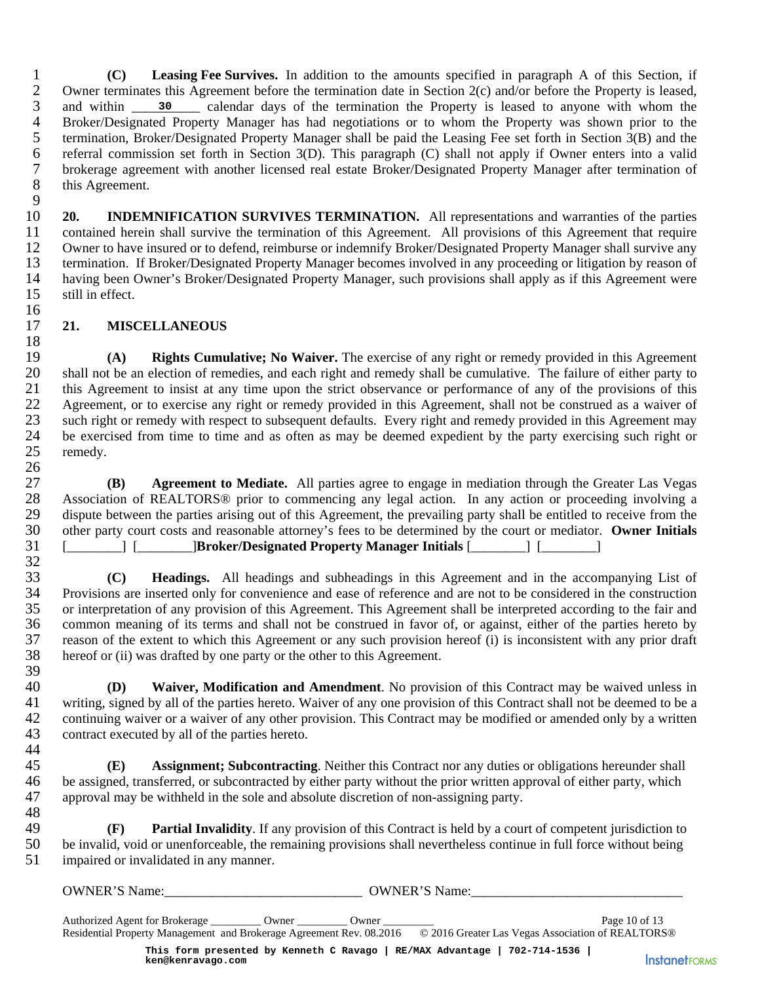1 **(C)** Leasing Fee Survives. In addition to the amounts specified in paragraph A of this Section, if 2 Owner terminates this Agreement before the termination date in Section 2(c) and/or before the Property is leased. 2 Owner terminates this Agreement before the termination date in Section 2(c) and/or before the Property is leased, 3 and within 30 calendar days of the termination the Property is leased to anyone with whom the 4 Broker/Designated Property Manager has had negotiations or to whom the Property was shown prior to the termination, Broker/Designated Property Manager shall be paid the Leasing Fee set forth in Section 3(B) and the 5 termination, Broker/Designated Property Manager shall be paid the Leasing Fee set forth in Section 3(B) and the referral commission set forth in Section 3(D). This paragraph (C) shall not apply if Owner enters into a val 6 referral commission set forth in Section 3(D). This paragraph (C) shall not apply if Owner enters into a valid 7 brokerage agreement with another licensed real estate Broker/Designated Property Manager after termination of this Agreement.

 $\frac{9}{10}$ 20. **INDEMNIFICATION SURVIVES TERMINATION.** All representations and warranties of the parties 11 contained herein shall survive the termination of this Agreement. All provisions of this Agreement that require<br>12 Owner to have insured or to defend, reimburse or indemnify Broker/Designated Property Manager shall surv Owner to have insured or to defend, reimburse or indemnify Broker/Designated Property Manager shall survive any 13 termination. If Broker/Designated Property Manager becomes involved in any proceeding or litigation by reason of 14 having been Owner's Broker/Designated Property Manager, such provisions shall apply as if this Agreement were 15 still in effect. 16

### 17 **21. MISCELLANEOUS**

 $\frac{18}{19}$ 19 **(A) Rights Cumulative; No Waiver.** The exercise of any right or remedy provided in this Agreement 20 shall not be an election of remedies, and each right and remedy shall be cumulative. The failure of either party to this Agreement to insist at any time upon the strict observance or performance of any of the provisions 21 this Agreement to insist at any time upon the strict observance or performance of any of the provisions of this 22 Agreement, or to exercise any right or remedy provided in this Agreement, shall not be construed as a waiver of 23 such right or remedy with respect to subsequent defaults. Every right and remedy provided in this Agreement may 24 be exercised from time to time and as often as may be deemed expedient by the party exercising such right or remedy. remedy. 26 30 calendated Property Manuscher/Designated Fission set forth in ement with anothical sison set forth in ement with anothic insured or to defer Broker/Designated wner's Broker/Designated wner's Broker/Designated where Shok

27 **(B)** Agreement to Mediate. All parties agree to engage in mediation through the Greater Las Vegas 28 Association of REALTORS® prior to commencing any legal action. In any action or proceeding involving a 28 Association of REALTORS® prior to commencing any legal action. In any action or proceeding involving a dispute between the parties arising out of this Agreement, the prevailing party shall be entitled to receive from th dispute between the parties arising out of this Agreement, the prevailing party shall be entitled to receive from the 30 other party court costs and reasonable attorney's fees to be determined by the court or mediator. **Owner Initials** 31 [\_\_\_\_\_\_\_\_] [\_\_\_\_\_\_\_\_]**Broker/Designated Property Manager Initials** [\_\_\_\_\_\_\_\_] [\_\_\_\_\_\_\_\_]

32<br>33 33 **(C) Headings.** All headings and subheadings in this Agreement and in the accompanying List of 34 Provisions are inserted only for convenience and ease of reference and are not to be considered in the construction<br>35 or interpretation of any provision of this Agreement. This Agreement shall be interpreted according 35 or interpretation of any provision of this Agreement. This Agreement shall be interpreted according to the fair and 36 common meaning of its terms and shall not be construed in favor of, or against, either of the parties hereto by 37 reason of the extent to which this Agreement or any such provision hereof (i) is inconsistent with any prior draft 38 hereof or (ii) was drafted by one party or the other to this Agreement.

39<br>40 40 **(D) Waiver, Modification and Amendment**. No provision of this Contract may be waived unless in 41 writing, signed by all of the parties hereto. Waiver of any one provision of this Contract shall not be deemed to be a 42 continuing waiver or a waiver of any other provision. This Contract may be modified or amended only by a written 43 contract executed by all of the parties hereto.

45 **(E) Assignment; Subcontracting**. Neither this Contract nor any duties or obligations hereunder shall 46 be assigned, transferred, or subcontracted by either party without the prior written approval of either party, which 47 approval may be withheld in the sole and absolute discretion of non-assigning party.

48<br>49 49 **(F) Partial Invalidity**. If any provision of this Contract is held by a court of competent jurisdiction to 50 be invalid, void or unenforceable, the remaining provisions shall nevertheless continue in full force without being<br>51 impaired or invalidated in any manner. impaired or invalidated in any manner.

OWNER'S Name:\_\_\_\_\_\_\_\_\_\_\_\_\_\_\_\_\_\_\_\_\_\_\_\_\_\_\_\_\_ OWNER'S Name:\_\_\_\_\_\_\_\_\_\_\_\_\_\_\_\_\_\_\_\_\_\_\_\_\_\_\_\_\_\_\_

44

Authorized Agent for Brokerage \_\_\_\_\_\_\_\_ Owner \_\_\_\_\_\_\_\_\_\_\_\_\_\_\_\_\_\_\_\_\_\_\_\_\_\_\_\_\_\_\_\_\_\_\_ Page 10 of 13 Residential Property Management and Brokerage Agreement Rev. 08.2016 © 2016 Greater Las Vegas Association of REALTORS® **This form presented by Kenneth C Ravago | RE/MAX Advantage | 702-714-1536 |**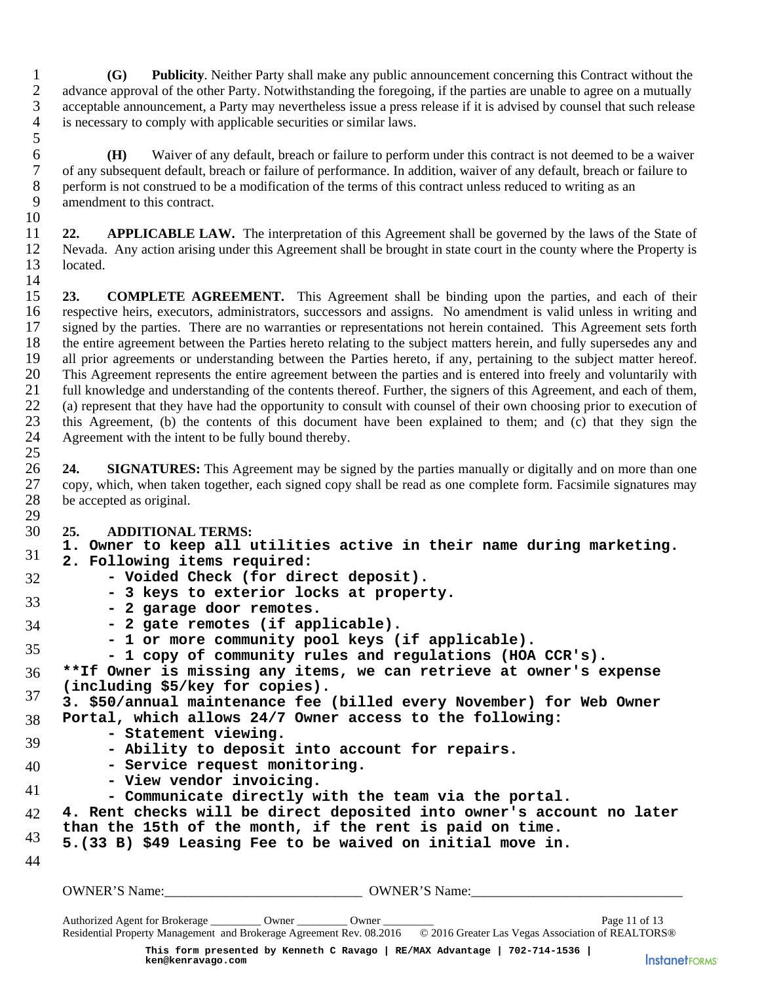1 **(G) Publicity**. Neither Party shall make any public announcement concerning this Contract without the 2 advance approval of the other Party. Notwithstanding the foregoing, if the parties are unable to agree on a mutually 3 acceptable announcement, a Party may nevertheless issue a press release if it is advised by counsel that such release 4 is necessary to comply with applicable securities or similar laws.

**(H)** Waiver of any default, breach or failure to perform under this contract is not deemed to be a waiver of any subsequent default, breach or failure of performance. In addition, waiver of any default, breach or failure 7 of any subsequent default, breach or failure of performance. In addition, waiver of any default, breach or failure to<br>8 orthom is not construed to be a modification of the terms of this contract unless reduced to writing 8 perform is not construed to be a modification of the terms of this contract unless reduced to writing as an amendment to this contract. amendment to this contract.

11 **22. APPLICABLE LAW.** The interpretation of this Agreement shall be governed by the laws of the State of 12 Nevada. Any action arising under this Agreement shall be brought in state court in the county where the Property is 13 located. 14

15 **23. COMPLETE AGREEMENT.** This Agreement shall be binding upon the parties, and each of their 16 respective heirs, executors, administrators, successors and assigns. No amendment is valid unless in writing and<br>17 signed by the parties. There are no warranties or representations not herein contained. This Agreement 17 signed by the parties. There are no warranties or representations not herein contained. This Agreement sets forth 18 the entire agreement between the Parties hereto relating to the subject matters herein, and fully supe 18 the entire agreement between the Parties hereto relating to the subject matters herein, and fully supersedes any and 19 all prior agreements or understanding between the Parties hereto, if any, pertaining to the subject matter hereof. 20 This Agreement represents the entire agreement between the parties and is entered into freely and voluntarily with<br>21 full knowledge and understanding of the contents thereof. Further, the signers of this Agreement, and 21 full knowledge and understanding of the contents thereof. Further, the signers of this Agreement, and each of them,<br>22 (a) represent that they have had the opportunity to consult with counsel of their own choosing prior 22 (a) represent that they have had the opportunity to consult with counsel of their own choosing prior to execution of 23 this Agreement, (b) the contents of this document have been explained to them; and (c) that they sign the 24 Agreement with the intent to be fully bound thereby. Agreement with the intent to be fully bound thereby. 25

26 **24. SIGNATURES:** This Agreement may be signed by the parties manually or digitally and on more than one 27 copy, which, when taken together, each signed copy shall be read as one complete form. Facsimile signatures may<br>28 be accepted as original. be accepted as original. 29

## 30 **25. ADDITIONAL TERMS:**

1. Owner to keep all utilities active in their name during marketing.<br><sup>31</sup> 2 Following items required:

- **2. Following items required:**
- 32 \_\_\_\_\_\_\_\_\_\_\_\_\_\_\_\_\_\_\_\_\_\_\_\_\_\_\_\_\_\_\_\_\_\_\_\_\_\_\_\_\_\_\_\_\_\_\_\_\_\_\_\_\_\_\_\_\_\_\_\_\_\_\_\_\_\_\_\_\_\_\_\_\_\_\_\_\_\_\_\_\_\_\_\_\_\_\_\_\_\_\_  **Voided Check (for direct deposit).**
	- **3 keys to exterior locks at property.**
- 33 and the state of the state of the state of the state of the state of the state of the state of the state of the state of the state of the state of the state of the state of the state of the state of the state of the sta
- 34 \_\_\_\_\_\_\_\_\_\_\_\_\_\_\_\_\_\_\_\_\_\_\_\_\_\_\_\_\_\_\_\_\_\_\_\_\_\_\_\_\_\_\_\_\_\_\_\_\_\_\_\_\_\_\_\_\_\_\_\_\_\_\_\_\_\_\_\_\_\_\_\_\_\_\_\_\_\_\_\_\_\_\_\_\_\_\_\_\_\_\_  **2 gate remotes (if applicable).**
	- **1 or more community pool keys (if applicable).**
- 35 **and 1 cm and 1 community poor Roys (II depirements).**<br>- 1 copy of community rules and regulations (HOA CCR's).

36 \_\_\_\_\_\_\_\_\_\_\_\_\_\_\_\_\_\_\_\_\_\_\_\_\_\_\_\_\_\_\_\_\_\_\_\_\_\_\_\_\_\_\_\_\_\_\_\_\_\_\_\_\_\_\_\_\_\_\_\_\_\_\_\_\_\_\_\_\_\_\_\_\_\_\_\_\_\_\_\_\_\_\_\_\_\_\_\_\_\_\_ **\*\*If Owner is missing any items, we can retrieve at owner's expense (including \$5/key for copies).**

37 \_\_\_\_\_\_\_\_\_\_\_\_\_\_\_\_\_\_\_\_\_\_\_\_\_\_\_\_\_\_\_\_\_\_\_\_\_\_\_\_\_\_\_\_\_\_\_\_\_\_\_\_\_\_\_\_\_\_\_\_\_\_\_\_\_\_\_\_\_\_\_\_\_\_\_\_\_\_\_\_\_\_\_\_\_\_\_\_\_\_\_ **3. \$50/annual maintenance fee (billed every November) for Web Owner**

38 \_\_\_\_\_\_\_\_\_\_\_\_\_\_\_\_\_\_\_\_\_\_\_\_\_\_\_\_\_\_\_\_\_\_\_\_\_\_\_\_\_\_\_\_\_\_\_\_\_\_\_\_\_\_\_\_\_\_\_\_\_\_\_\_\_\_\_\_\_\_\_\_\_\_\_\_\_\_\_\_\_\_\_\_\_\_\_\_\_\_\_ **Portal, which allows 24/7 Owner access to the following:**

- **Statement viewing.**
- 39 \_\_\_\_\_\_\_\_\_\_\_\_\_\_\_\_\_\_\_\_\_\_\_\_\_\_\_\_\_\_\_\_\_\_\_\_\_\_\_\_\_\_\_\_\_\_\_\_\_\_\_\_\_\_\_\_\_\_\_\_\_\_\_\_\_\_\_\_\_\_\_\_\_\_\_\_\_\_\_\_\_\_\_\_\_\_\_\_\_\_\_  **Ability to deposit into account for repairs.**
- 40 \_\_\_\_\_\_\_\_\_\_\_\_\_\_\_\_\_\_\_\_\_\_\_\_\_\_\_\_\_\_\_\_\_\_\_\_\_\_\_\_\_\_\_\_\_\_\_\_\_\_\_\_\_\_\_\_\_\_\_\_\_\_\_\_\_\_\_\_\_\_\_\_\_\_\_\_\_\_\_\_\_\_\_\_\_\_\_\_\_\_\_  **Service request monitoring.**
- **View vendor invoicing.**
- 41 \_\_\_\_\_\_\_\_\_\_\_\_\_\_\_\_\_\_\_\_\_\_\_\_\_\_\_\_\_\_\_\_\_\_\_\_\_\_\_\_\_\_\_\_\_\_\_\_\_\_\_\_\_\_\_\_\_\_\_\_\_\_\_\_\_\_\_\_\_\_\_\_\_\_\_\_\_\_\_\_\_\_\_\_\_\_\_\_\_\_\_  **Communicate directly with the team via the portal.**
- 42 \_\_\_\_\_\_\_\_\_\_\_\_\_\_\_\_\_\_\_\_\_\_\_\_\_\_\_\_\_\_\_\_\_\_\_\_\_\_\_\_\_\_\_\_\_\_\_\_\_\_\_\_\_\_\_\_\_\_\_\_\_\_\_\_\_\_\_\_\_\_\_\_\_\_\_\_\_\_\_\_\_\_\_\_\_\_\_\_\_\_\_ **4. Rent checks will be direct deposited into owner's account no later than the 15th of the month, if the rent is paid on time.**
- 43 \_\_\_\_\_\_\_\_\_\_\_\_\_\_\_\_\_\_\_\_\_\_\_\_\_\_\_\_\_\_\_\_\_\_\_\_\_\_\_\_\_\_\_\_\_\_\_\_\_\_\_\_\_\_\_\_\_\_\_\_\_\_\_\_\_\_\_\_\_\_\_\_\_\_\_\_\_\_\_\_\_\_\_\_\_\_\_\_\_\_\_ **5.(33 B) \$49 Leasing Fee to be waived on initial move in.**
- $44 \pm 44$

5

10

```
OWNER'S Name:_____________________________ OWNER'S Name:_______________________________
```
Authorized Agent for Brokerage \_\_\_\_\_\_\_\_\_ Owner \_\_\_\_\_\_\_\_\_ Owner \_\_\_\_\_\_\_\_\_ Page 11 of 13 Residential Property Management and Brokerage Agreement Rev. 08.2016 © 2016 Greater Las Vegas Association of REALTORS® **This form presented by Kenneth C Ravago | RE/MAX Advantage | 702-714-1536 | ken@kenravago.com**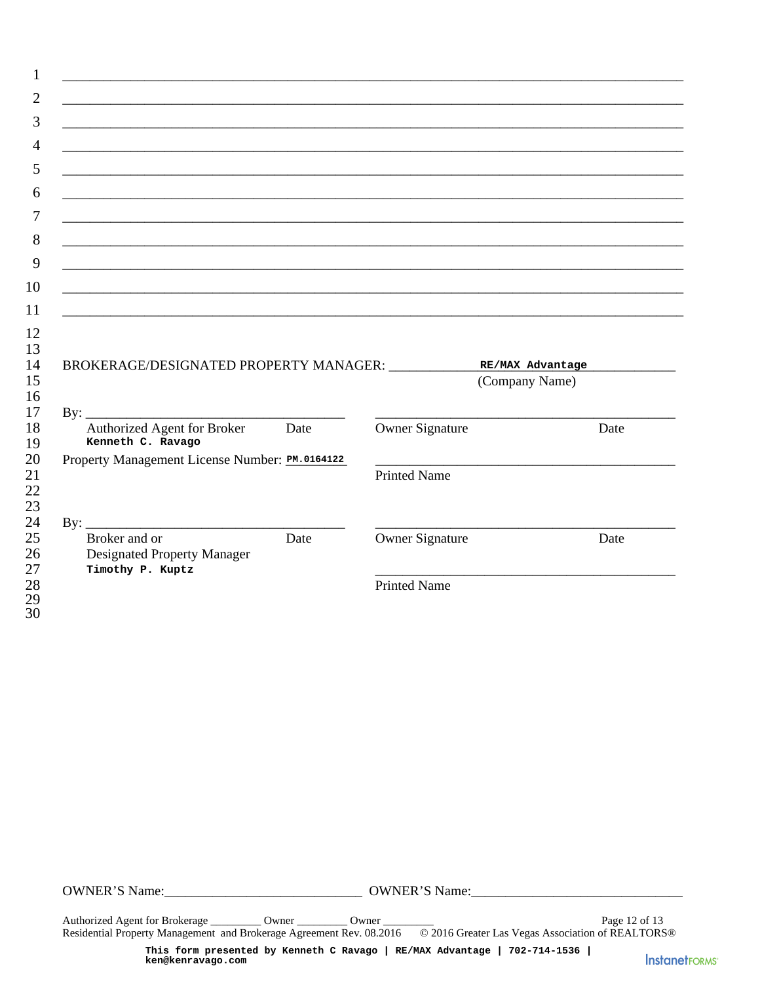|                                                                                                                           |      | <u> 1999 - Jan James James James James James James James James James James James James James James James James J</u>                                                        |      |
|---------------------------------------------------------------------------------------------------------------------------|------|-----------------------------------------------------------------------------------------------------------------------------------------------------------------------------|------|
|                                                                                                                           |      | <u> 1989 - Johann John Stone, markin basar basa da shekara ta 1980 - An tsara tsara tsara tsara tsara tsara tsar</u>                                                        |      |
|                                                                                                                           |      | <u> 1989 - 1989 - 1989 - 1989 - 1989 - 1989 - 1989 - 1989 - 1989 - 1989 - 1989 - 1989 - 1989 - 1989 - 1989 - 19</u><br><u> 1999 - Jan James James Alexandria (h. 1989).</u> |      |
|                                                                                                                           |      |                                                                                                                                                                             |      |
| BROKERAGE/DESIGNATED PROPERTY MANAGER: RE/MAX Advantage                                                                   |      |                                                                                                                                                                             |      |
|                                                                                                                           |      |                                                                                                                                                                             |      |
|                                                                                                                           |      | (Company Name)                                                                                                                                                              |      |
|                                                                                                                           |      |                                                                                                                                                                             |      |
| Authorized Agent for Broker<br>Kenneth C. Ravago                                                                          | Date | Owner Signature                                                                                                                                                             | Date |
|                                                                                                                           |      |                                                                                                                                                                             |      |
|                                                                                                                           |      | <b>Printed Name</b>                                                                                                                                                         |      |
|                                                                                                                           |      |                                                                                                                                                                             |      |
| Property Management License Number: PM.0164122<br>Broker and or<br><b>Designated Property Manager</b><br>Timothy P. Kuptz | Date | Owner Signature                                                                                                                                                             | Date |

Authorized Agent for Brokerage \_\_\_\_\_\_\_\_\_\_\_ Owner \_\_\_\_\_\_\_\_\_\_\_ Owner \_ Page 12 of 13 Residential Property Management and Brokerage Agreement Rev. 08.2016 © 2016 Greater Las Vegas Association of REALTORS®

This form presented by Kenneth C Ravago | RE/MAX Advantage | 702-714-1536 | ken@kenravago.com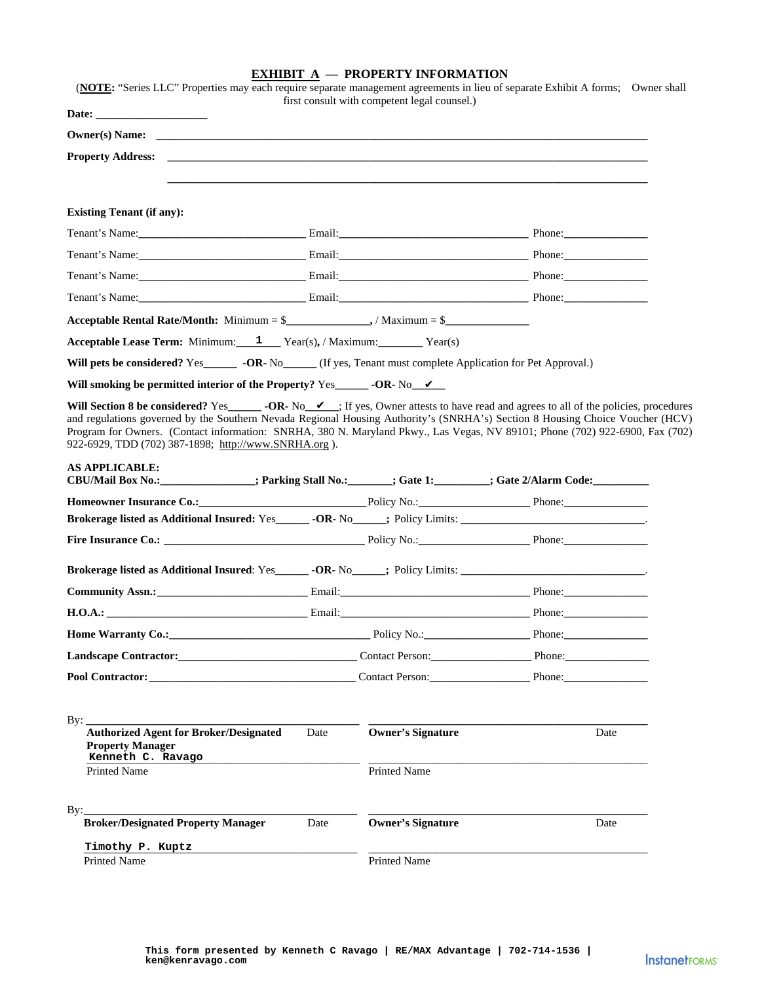|--|

| Property Address:                                                                                                                                                                                                                                                                                                                                                                                                                         |      |                          |      |
|-------------------------------------------------------------------------------------------------------------------------------------------------------------------------------------------------------------------------------------------------------------------------------------------------------------------------------------------------------------------------------------------------------------------------------------------|------|--------------------------|------|
|                                                                                                                                                                                                                                                                                                                                                                                                                                           |      |                          |      |
| <b>Existing Tenant (if any):</b>                                                                                                                                                                                                                                                                                                                                                                                                          |      |                          |      |
| Tenant's Name: <u>Containing Communications</u> Email: <u>Communications Communications (Communications Communications Communications Communications Communications Communications (Communications Communications Communications Comm</u>                                                                                                                                                                                                 |      |                          |      |
|                                                                                                                                                                                                                                                                                                                                                                                                                                           |      |                          |      |
| Tenant's Name: Email: Email: Phone: Phone: Phone: Phone: Phone: Phone: Phone: Phone: Phone: Phone: Phone: Phone: Phone: Phone: Phone: Phone: Phone: Phone: Phone: Phone: Phone: Phone: Phone: Phone: Phone: Phone: Phone: Phon                                                                                                                                                                                                            |      |                          |      |
| Tenant's Name: Email: Email: Email: Phone: Phone: Phone: Phone: Phone: Phone: Phone: Phone: Phone: Phone: Phone: Phone: Phone: Phone: Phone: Phone: Phone: Phone: Phone: Phone: Phone: Phone: Phone: Phone: Phone: Phone: Phon                                                                                                                                                                                                            |      |                          |      |
| Acceptable Rental Rate/Month: Minimum = $\frac{1}{2}$ / Maximum = $\frac{1}{2}$                                                                                                                                                                                                                                                                                                                                                           |      |                          |      |
| <b>Acceptable Lease Term:</b> Minimum: $1$ Year(s), / Maximum: Year(s)                                                                                                                                                                                                                                                                                                                                                                    |      |                          |      |
|                                                                                                                                                                                                                                                                                                                                                                                                                                           |      |                          |      |
|                                                                                                                                                                                                                                                                                                                                                                                                                                           |      |                          |      |
| Will Section 8 be considered? Yes_______ -OR- No_ $\nu$ ; If yes, Owner attests to have read and agrees to all of the policies, procedures                                                                                                                                                                                                                                                                                                |      |                          |      |
| and regulations governed by the Southern Nevada Regional Housing Authority's (SNRHA's) Section 8 Housing Choice Voucher (HCV)<br>Program for Owners. (Contact information: SNRHA, 380 N. Maryland Pkwy., Las Vegas, NV 89101; Phone (702) 922-6900, Fax (702)                                                                                                                                                                             |      |                          |      |
| 922-6929, TDD (702) 387-1898; http://www.SNRHA.org ).                                                                                                                                                                                                                                                                                                                                                                                     |      |                          |      |
| <b>AS APPLICABLE:</b><br>CBU/Mail Box No.:_______________; Parking Stall No.:_______; Gate 1:________; Gate 2/Alarm Code:__________                                                                                                                                                                                                                                                                                                       |      |                          |      |
|                                                                                                                                                                                                                                                                                                                                                                                                                                           |      |                          |      |
|                                                                                                                                                                                                                                                                                                                                                                                                                                           |      |                          |      |
|                                                                                                                                                                                                                                                                                                                                                                                                                                           |      |                          |      |
|                                                                                                                                                                                                                                                                                                                                                                                                                                           |      |                          |      |
|                                                                                                                                                                                                                                                                                                                                                                                                                                           |      |                          |      |
|                                                                                                                                                                                                                                                                                                                                                                                                                                           |      |                          |      |
|                                                                                                                                                                                                                                                                                                                                                                                                                                           |      |                          |      |
|                                                                                                                                                                                                                                                                                                                                                                                                                                           |      |                          |      |
|                                                                                                                                                                                                                                                                                                                                                                                                                                           |      |                          |      |
|                                                                                                                                                                                                                                                                                                                                                                                                                                           |      |                          |      |
|                                                                                                                                                                                                                                                                                                                                                                                                                                           |      |                          |      |
|                                                                                                                                                                                                                                                                                                                                                                                                                                           |      |                          |      |
| <b>Authorized Agent for Broker/Designated</b><br><b>Property Manager</b>                                                                                                                                                                                                                                                                                                                                                                  | Date | <b>Owner's Signature</b> | Date |
| Kenneth C. Ravago<br><b>Printed Name</b>                                                                                                                                                                                                                                                                                                                                                                                                  |      | Printed Name             |      |
|                                                                                                                                                                                                                                                                                                                                                                                                                                           |      |                          |      |
|                                                                                                                                                                                                                                                                                                                                                                                                                                           |      |                          |      |
| <b>Broker/Designated Property Manager</b>                                                                                                                                                                                                                                                                                                                                                                                                 | Date | <b>Owner's Signature</b> | Date |
| Homeowner Insurance Co.: Policy No.: Phone: Phone: Phone:<br><b>H.O.A.:</b> Phone: Phone: Phone: Phone: Phone: Phone: Phone: Phone: Phone: Phone: Phone: Phone: Phone: Phone: Phone: Phone: Phone: Phone: Phone: Phone: Phone: Phone: Phone: Phone: Phone: Phone: Phone: Phone: Phone: Phone: Ph<br>Landscape Contractor: Contact Person: Phone: Phone: Phone:<br>By: $\overline{\phantom{a}}$<br>Timothy P. Kuptz<br><b>Printed Name</b> |      | Printed Name             |      |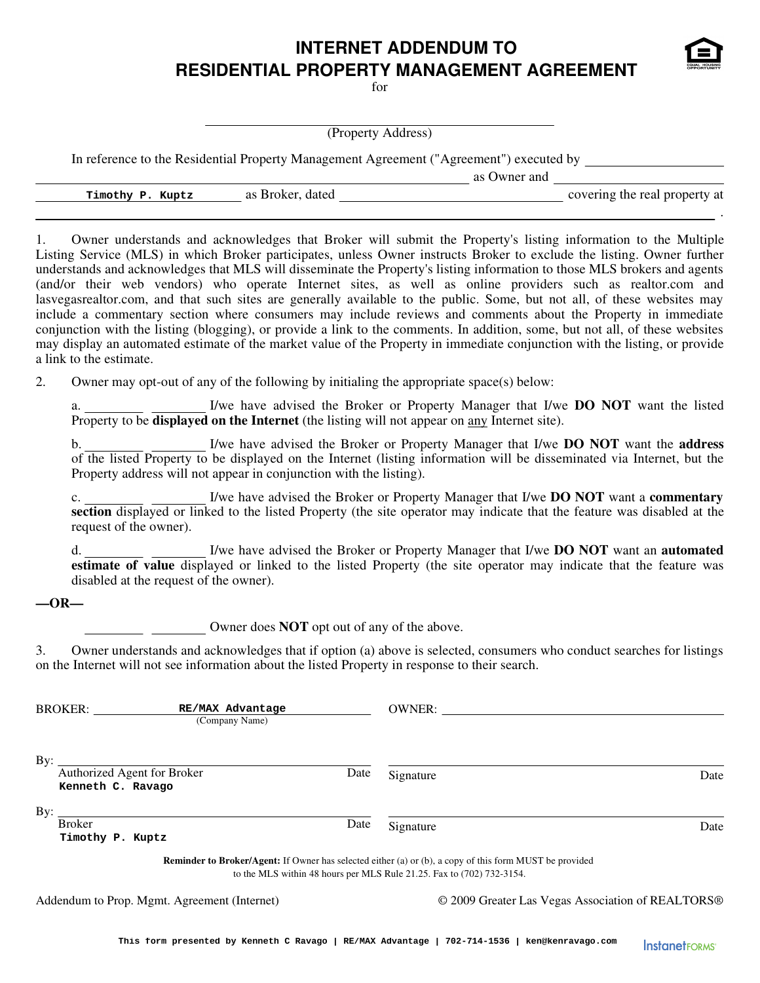## **INTERNET ADDENDUM TO RESIDENTIAL PROPERTY MANAGEMENT AGREEMENT**

 $for$ 

(Property Address)

In reference to the Residential Property Management Agreement ("Agreement") executed by

as Owner and

**Timothy P. Kuptz** as Broker, dated <u>covering</u> the real property at

1. Owner understands and acknowledges that Broker will submit the Property's listing information to the Multiple Listing Service (MLS) in which Broker participates, unless Owner instructs Broker to exclude the listing. Owner further understands and acknowledges that MLS will disseminate the Property's listing information to those MLS brokers and agents (and/or their web vendors) who operate Internet sites, as well as online providers such as realtor.com and lasvegasrealtor.com, and that such sites are generally available to the public. Some, but not all, of these websites may include a commentary section where consumers may include reviews and comments about the Property in immediate conjunction with the listing (blogging), or provide a link to the comments. In addition, some, but not all, of these websites may display an automated estimate of the market value of the Property in immediate conjunction with the listing, or provide a link to the estimate.

2. Owner may opt-out of any of the following by initialing the appropriate space(s) below:

a. I/we have advised the Broker or Property Manager that I/we **DO NOT** want the listed Property to be **displayed on the Internet** (the listing will not appear on any Internet site).

b. 1/we have advised the Broker or Property Manager that I/we **DO NOT** want the **address** of the listed Property to be displayed on the Internet (listing information will be disseminated via Internet, but the Property address will not appear in conjunction with the listing).

c. I/we have advised the Broker or Property Manager that I/we **DO NOT** want a **commentary section** displayed or linked to the listed Property (the site operator may indicate that the feature was disabled at the request of the owner).

d. I/we have advised the Broker or Property Manager that I/we **DO NOT** want an **automated estimate of value** displayed or linked to the listed Property (the site operator may indicate that the feature was disabled at the request of the owner).

#### **—OR—**

Owner does **NOT** opt out of any of the above.

3. Owner understands and acknowledges that if option (a) above is selected, consumers who conduct searches for listings on the Internet will not see information about the listed Property in response to their search.

| <b>BROKER:</b>                                          | RE/MAX Advantage<br>(Company Name) |      | <b>OWNER:</b>                                                                                                                                                                           |      |
|---------------------------------------------------------|------------------------------------|------|-----------------------------------------------------------------------------------------------------------------------------------------------------------------------------------------|------|
| By:<br>Authorized Agent for Broker<br>Kenneth C. Ravago |                                    | Date | Signature                                                                                                                                                                               | Date |
| By:<br><b>Broker</b><br>Timothy P. Kuptz                |                                    | Date | Signature                                                                                                                                                                               | Date |
|                                                         |                                    |      | <b>Reminder to Broker/Agent:</b> If Owner has selected either (a) or (b), a copy of this form MUST be provided<br>to the MLS within 48 hours per MLS Rule 21.25. Fax to (702) 732-3154. |      |

Addendum to Prop. Mgmt. Agreement (Internet) © 2009 Greater Las Vegas Association of REALTORS®



.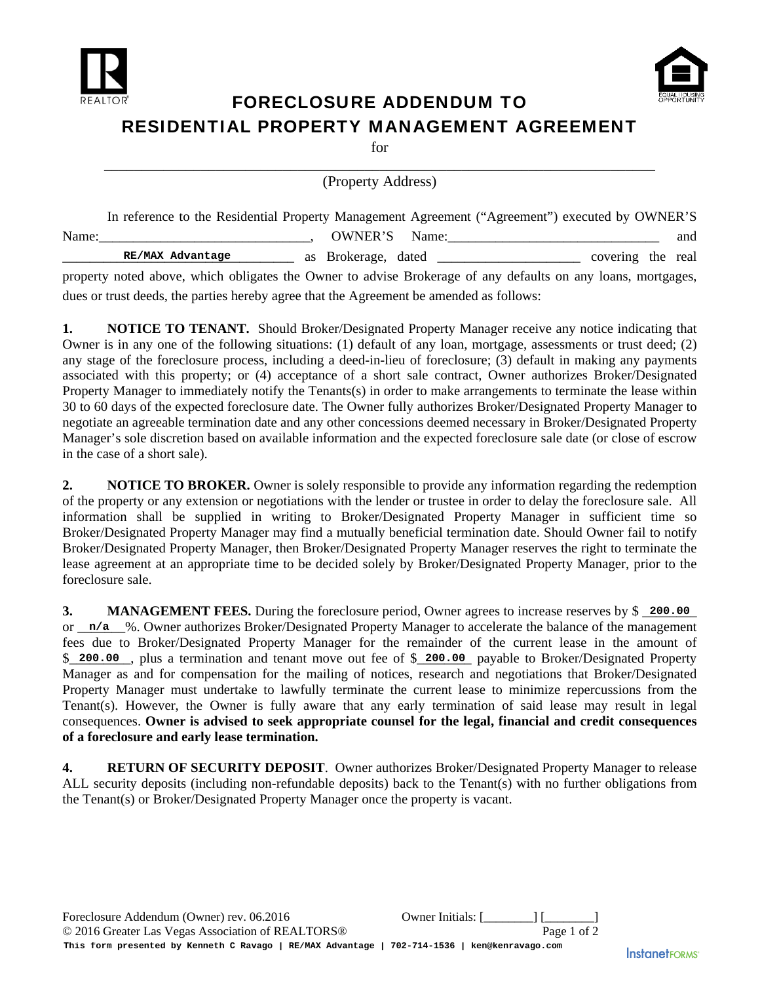



## FORECLOSURE ADDENDUM TO RESIDENTIAL PROPERTY MANAGEMENT AGREEMENT

for

\_\_\_\_\_\_\_\_\_\_\_\_\_\_\_\_\_\_\_\_\_\_\_\_\_\_\_\_\_\_\_\_\_\_\_\_\_\_\_\_\_\_\_\_\_\_\_\_\_\_\_\_\_\_\_\_\_\_\_\_\_\_\_\_\_\_\_\_\_\_\_\_\_\_ (Property Address)

|       | In reference to the Residential Property Management Agreement ("Agreement") executed by OWNER'S              |               |  |  |                   |     |
|-------|--------------------------------------------------------------------------------------------------------------|---------------|--|--|-------------------|-----|
| Name: |                                                                                                              | OWNER'S Name: |  |  |                   | and |
|       | RE/MAX Advantage                                                                                             |               |  |  | covering the real |     |
|       | property noted above, which obligates the Owner to advise Brokerage of any defaults on any loans, mortgages, |               |  |  |                   |     |

dues or trust deeds, the parties hereby agree that the Agreement be amended as follows:

**1. NOTICE TO TENANT.** Should Broker/Designated Property Manager receive any notice indicating that Owner is in any one of the following situations: (1) default of any loan, mortgage, assessments or trust deed; (2) any stage of the foreclosure process, including a deed-in-lieu of foreclosure; (3) default in making any payments associated with this property; or (4) acceptance of a short sale contract, Owner authorizes Broker/Designated Property Manager to immediately notify the Tenants(s) in order to make arrangements to terminate the lease within 30 to 60 days of the expected foreclosure date. The Owner fully authorizes Broker/Designated Property Manager to negotiate an agreeable termination date and any other concessions deemed necessary in Broker/Designated Property Manager's sole discretion based on available information and the expected foreclosure sale date (or close of escrow in the case of a short sale).

**2. NOTICE TO BROKER.** Owner is solely responsible to provide any information regarding the redemption of the property or any extension or negotiations with the lender or trustee in order to delay the foreclosure sale. All information shall be supplied in writing to Broker/Designated Property Manager in sufficient time so Broker/Designated Property Manager may find a mutually beneficial termination date. Should Owner fail to notify Broker/Designated Property Manager, then Broker/Designated Property Manager reserves the right to terminate the lease agreement at an appropriate time to be decided solely by Broker/Designated Property Manager, prior to the foreclosure sale.

**3. MANAGEMENT FEES.** During the foreclosure period, Owner agrees to increase reserves by \$ \_200.00 or  $n/a$  %. Owner authorizes Broker/Designated Property Manager to accelerate the balance of the management fees due to Broker/Designated Property Manager for the remainder of the current lease in the amount of \$ 200.00, plus a termination and tenant move out fee of \$ 200.00 payable to Broker/Designated Property Manager as and for compensation for the mailing of notices, research and negotiations that Broker/Designated Property Manager must undertake to lawfully terminate the current lease to minimize repercussions from the Tenant(s). However, the Owner is fully aware that any early termination of said lease may result in legal consequences. **Owner is advised to seek appropriate counsel for the legal, financial and credit consequences of a foreclosure and early lease termination.**

**4. RETURN OF SECURITY DEPOSIT**. Owner authorizes Broker/Designated Property Manager to release ALL security deposits (including non-refundable deposits) back to the Tenant(s) with no further obligations from the Tenant(s) or Broker/Designated Property Manager once the property is vacant.